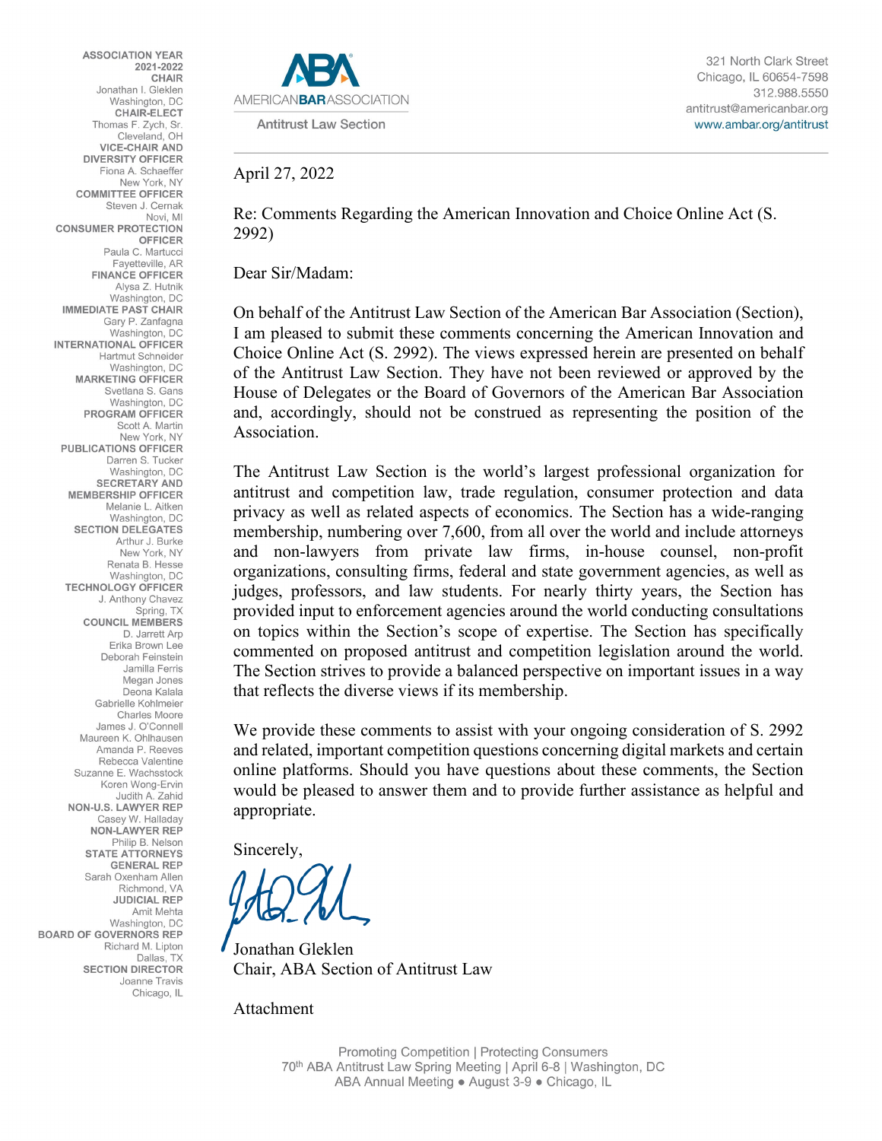**ASSOCIATION YEAR** 2021-2022 CHAIR Jonathan I. Gleklen Washington, DC **CHAIR-ELECT** Thomas F. Zych, Sr. Cleveland, OH **VICE-CHAIR AND DIVERSITY OFFICER** Fiona A. Schaeffer New York, NY **COMMITTEE OFFICER** Steven J. Cernak Novi, MI **CONSUMER PROTECTION OFFICER** Paula C. Martucci Fayetteville, AR **FINANCE OFFICER** Alysa Z. Hutnik Washington, DC **IMMEDIATE PAST CHAIR** Gary P. Zanfagna Washington, DC **INTERNATIONAL OFFICER Hartmut Schneider** Washington, DC **MARKETING OFFICER** Svetlana S. Gans Washington, DC PROGRAM OFFICER Scott A. Martin New York, NY **PUBLICATIONS OFFICER** Darren S. Tucker Washington, DC **SECRETARY AND MEMBERSHIP OFFICER** Melanie L. Aitken Washington, DC **SECTION DELEGATES** Arthur J. Burke New York, NY Renata B. Hesse Washington, DC **TECHNOLOGY OFFICER** J. Anthony Chavez Spring, TX **COUNCIL MEMBERS** D. Jarrett Arp Erika Brown Lee Deborah Feinstein Jamilla Ferris Megan Jones Deona Kalala Gabrielle Kohlmeier Charles Moore James J. O'Connell Maureen K. Ohlhausen Amanda P. Reeves Rebecca Valentine Suzanne E. Wachsstock Koren Wong-Ervin Judith A. Zahid NON-U.S. LAWYER REP Casey W. Halladay NON-LAWYER REP Philip B. Nelson **STATE ATTORNEYS GENERAL REP** Sarah Oxenham Allen Richmond, VA **JUDICIAL REP** Amit Mehta Washington, DC **BOARD OF GOVERNORS REP** Richard M. Lipton Dallas, TX **SECTION DIRECTOR** Joanne Travis Chicago, IL



#### April 27, 2022

Re: Comments Regarding the American Innovation and Choice Online Act (S. 2992)

Dear Sir/Madam:

On behalf of the Antitrust Law Section of the American Bar Association (Section), I am pleased to submit these comments concerning the American Innovation and Choice Online Act (S. 2992). The views expressed herein are presented on behalf of the Antitrust Law Section. They have not been reviewed or approved by the House of Delegates or the Board of Governors of the American Bar Association and, accordingly, should not be construed as representing the position of the Association.

The Antitrust Law Section is the world's largest professional organization for antitrust and competition law, trade regulation, consumer protection and data privacy as well as related aspects of economics. The Section has a wide-ranging membership, numbering over 7,600, from all over the world and include attorneys and non-lawyers from private law firms, in-house counsel, non-profit organizations, consulting firms, federal and state government agencies, as well as judges, professors, and law students. For nearly thirty years, the Section has provided input to enforcement agencies around the world conducting consultations on topics within the Section's scope of expertise. The Section has specifically commented on proposed antitrust and competition legislation around the world. The Section strives to provide a balanced perspective on important issues in a way that reflects the diverse views if its membership.

We provide these comments to assist with your ongoing consideration of S. 2992 and related, important competition questions concerning digital markets and certain online platforms. Should you have questions about these comments, the Section would be pleased to answer them and to provide further assistance as helpful and appropriate.

Sincerely,

Jonathan Gleklen Chair, ABA Section of Antitrust Law

Attachment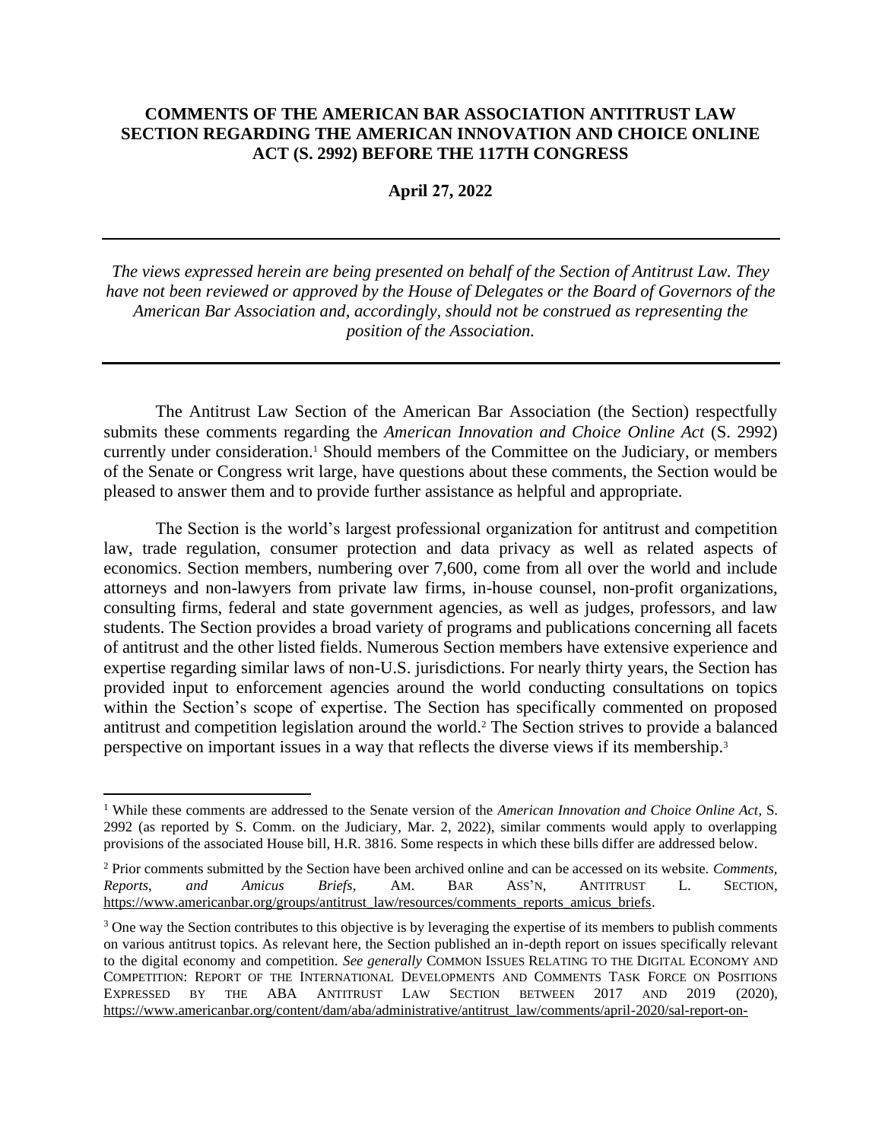### **COMMENTS OF THE AMERICAN BAR ASSOCIATION ANTITRUST LAW SECTION REGARDING THE AMERICAN INNOVATION AND CHOICE ONLINE ACT (S. 2992) BEFORE THE 117TH CONGRESS**

**April 27, 2022**

*The views expressed herein are being presented on behalf of the Section of Antitrust Law. They have not been reviewed or approved by the House of Delegates or the Board of Governors of the American Bar Association and, accordingly, should not be construed as representing the position of the Association.*

The Antitrust Law Section of the American Bar Association (the Section) respectfully submits these comments regarding the *American Innovation and Choice Online Act* (S. 2992) currently under consideration.<sup>1</sup> Should members of the Committee on the Judiciary, or members of the Senate or Congress writ large, have questions about these comments, the Section would be pleased to answer them and to provide further assistance as helpful and appropriate.

The Section is the world's largest professional organization for antitrust and competition law, trade regulation, consumer protection and data privacy as well as related aspects of economics. Section members, numbering over 7,600, come from all over the world and include attorneys and non-lawyers from private law firms, in-house counsel, non-profit organizations, consulting firms, federal and state government agencies, as well as judges, professors, and law students. The Section provides a broad variety of programs and publications concerning all facets of antitrust and the other listed fields. Numerous Section members have extensive experience and expertise regarding similar laws of non-U.S. jurisdictions. For nearly thirty years, the Section has provided input to enforcement agencies around the world conducting consultations on topics within the Section's scope of expertise. The Section has specifically commented on proposed antitrust and competition legislation around the world. <sup>2</sup> The Section strives to provide a balanced perspective on important issues in a way that reflects the diverse views if its membership.<sup>3</sup>

<span id="page-1-0"></span><sup>1</sup> While these comments are addressed to the Senate version of the *American Innovation and Choice Online Act*, S. 2992 (as reported by S. Comm. on the Judiciary, Mar. 2, 2022), similar comments would apply to overlapping provisions of the associated House bill, H.R. 3816. Some respects in which these bills differ are addressed below.

<sup>2</sup> Prior comments submitted by the Section have been archived online and can be accessed on its website. *Comments, Reports, and Amicus Briefs*, AM. BAR ASS'N, ANTITRUST L. SECTION, [https://www.americanbar.org/groups/antitrust\\_law/resources/comments\\_reports\\_amicus\\_briefs.](https://www.americanbar.org/groups/antitrust_law/resources/comments_reports_amicus_briefs)

<sup>&</sup>lt;sup>3</sup> One way the Section contributes to this objective is by leveraging the expertise of its members to publish comments on various antitrust topics. As relevant here, the Section published an in-depth report on issues specifically relevant to the digital economy and competition. *See generally* COMMON ISSUES RELATING TO THE DIGITAL ECONOMY AND COMPETITION: REPORT OF THE INTERNATIONAL DEVELOPMENTS AND COMMENTS TASK FORCE ON POSITIONS EXPRESSED BY THE ABA ANTITRUST LAW SECTION BETWEEN 2017 AND 2019 (2020), [https://www.americanbar.org/content/dam/aba/administrative/antitrust\\_law/comments/april-2020/sal-report-on-](https://www.americanbar.org/content/dam/aba/administrative/antitrust_law/comments/april-2020/sal-report-on-common-issues-relating-to-the-digital-economy-and-competition-final-4162020.pdf)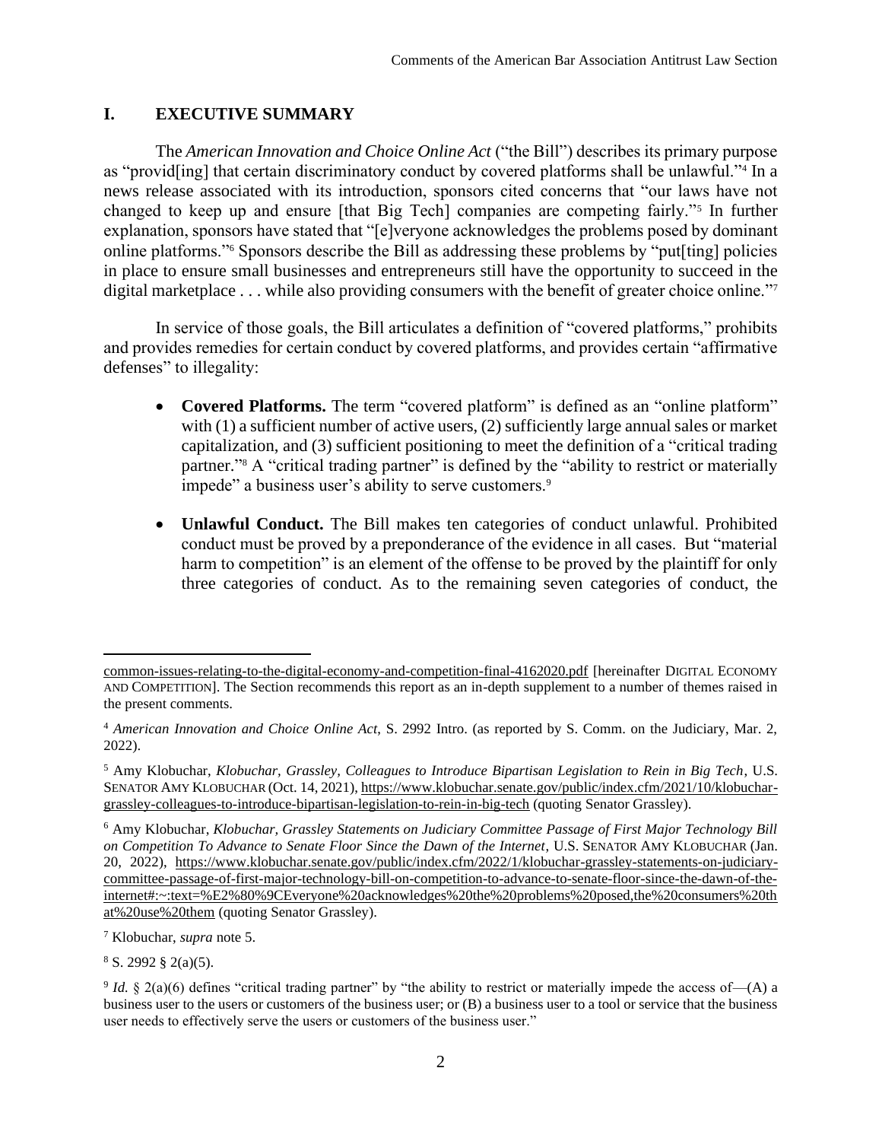## **I. EXECUTIVE SUMMARY**

The *American Innovation and Choice Online Act* ("the Bill") describes its primary purpose as "provid[ing] that certain discriminatory conduct by covered platforms shall be unlawful."<sup>4</sup> In a news release associated with its introduction, sponsors cited concerns that "our laws have not changed to keep up and ensure [that Big Tech] companies are competing fairly."<sup>5</sup> In further explanation, sponsors have stated that "[e]veryone acknowledges the problems posed by dominant online platforms."<sup>6</sup> Sponsors describe the Bill as addressing these problems by "put[ting] policies in place to ensure small businesses and entrepreneurs still have the opportunity to succeed in the digital marketplace . . . while also providing consumers with the benefit of greater choice online."<sup>7</sup>

In service of those goals, the Bill articulates a definition of "covered platforms," prohibits and provides remedies for certain conduct by covered platforms, and provides certain "affirmative defenses" to illegality:

- <span id="page-2-0"></span>• **Covered Platforms.** The term "covered platform" is defined as an "online platform" with (1) a sufficient number of active users, (2) sufficiently large annual sales or market capitalization, and (3) sufficient positioning to meet the definition of a "critical trading partner."<sup>8</sup> A "critical trading partner" is defined by the "ability to restrict or materially impede" a business user's ability to serve customers.<sup>9</sup>
- **Unlawful Conduct.** The Bill makes ten categories of conduct unlawful. Prohibited conduct must be proved by a preponderance of the evidence in all cases. But "material harm to competition" is an element of the offense to be proved by the plaintiff for only three categories of conduct. As to the remaining seven categories of conduct, the

[common-issues-relating-to-the-digital-economy-and-competition-final-4162020.pdf](https://www.americanbar.org/content/dam/aba/administrative/antitrust_law/comments/april-2020/sal-report-on-common-issues-relating-to-the-digital-economy-and-competition-final-4162020.pdf) [hereinafter DIGITAL ECONOMY AND COMPETITION]. The Section recommends this report as an in-depth supplement to a number of themes raised in the present comments.

<sup>4</sup> *American Innovation and Choice Online Act*, S. 2992 Intro. (as reported by S. Comm. on the Judiciary, Mar. 2, 2022).

<sup>5</sup> Amy Klobuchar, *Klobuchar, Grassley, Colleagues to Introduce Bipartisan Legislation to Rein in Big Tech*, U.S. SENATOR AMY KLOBUCHAR (Oct. 14, 2021)[, https://www.klobuchar.senate.gov/public/index.cfm/2021/10/klobuchar](https://www.klobuchar.senate.gov/public/index.cfm/2021/10/klobuchar-grassley-colleagues-to-introduce-bipartisan-legislation-to-rein-in-big-tech)[grassley-colleagues-to-introduce-bipartisan-legislation-to-rein-in-big-tech](https://www.klobuchar.senate.gov/public/index.cfm/2021/10/klobuchar-grassley-colleagues-to-introduce-bipartisan-legislation-to-rein-in-big-tech) (quoting Senator Grassley).

<sup>6</sup> Amy Klobuchar, *Klobuchar, Grassley Statements on Judiciary Committee Passage of First Major Technology Bill on Competition To Advance to Senate Floor Since the Dawn of the Internet*, U.S. SENATOR AMY KLOBUCHAR (Jan. 20, 2022), [https://www.klobuchar.senate.gov/public/index.cfm/2022/1/klobuchar-grassley-statements-on-judiciary](https://www.klobuchar.senate.gov/public/index.cfm/2022/1/klobuchar-grassley-statements-on-judiciary-committee-passage-of-first-major-technology-bill-on-competition-to-advance-to-senate-floor-since-the-dawn-of-the-internet#:~:text=%E2%80%9CEveryone%20acknowledges%20the%20problems%20posed,the%20consumers%20that%20use%20them)[committee-passage-of-first-major-technology-bill-on-competition-to-advance-to-senate-floor-since-the-dawn-of-the](https://www.klobuchar.senate.gov/public/index.cfm/2022/1/klobuchar-grassley-statements-on-judiciary-committee-passage-of-first-major-technology-bill-on-competition-to-advance-to-senate-floor-since-the-dawn-of-the-internet#:~:text=%E2%80%9CEveryone%20acknowledges%20the%20problems%20posed,the%20consumers%20that%20use%20them)[internet#:~:text=%E2%80%9CEveryone%20acknowledges%20the%20problems%20posed,the%20consumers%20th](https://www.klobuchar.senate.gov/public/index.cfm/2022/1/klobuchar-grassley-statements-on-judiciary-committee-passage-of-first-major-technology-bill-on-competition-to-advance-to-senate-floor-since-the-dawn-of-the-internet#:~:text=%E2%80%9CEveryone%20acknowledges%20the%20problems%20posed,the%20consumers%20that%20use%20them) [at%20use%20them](https://www.klobuchar.senate.gov/public/index.cfm/2022/1/klobuchar-grassley-statements-on-judiciary-committee-passage-of-first-major-technology-bill-on-competition-to-advance-to-senate-floor-since-the-dawn-of-the-internet#:~:text=%E2%80%9CEveryone%20acknowledges%20the%20problems%20posed,the%20consumers%20that%20use%20them) (quoting Senator Grassley).

<sup>7</sup> Klobuchar, *supra* note [5.](#page-2-0)

 $8 S. 2992 \& 2(a)(5)$ .

<sup>&</sup>lt;sup>9</sup> *Id.* § 2(a)(6) defines "critical trading partner" by "the ability to restrict or materially impede the access of—(A) a business user to the users or customers of the business user; or (B) a business user to a tool or service that the business user needs to effectively serve the users or customers of the business user."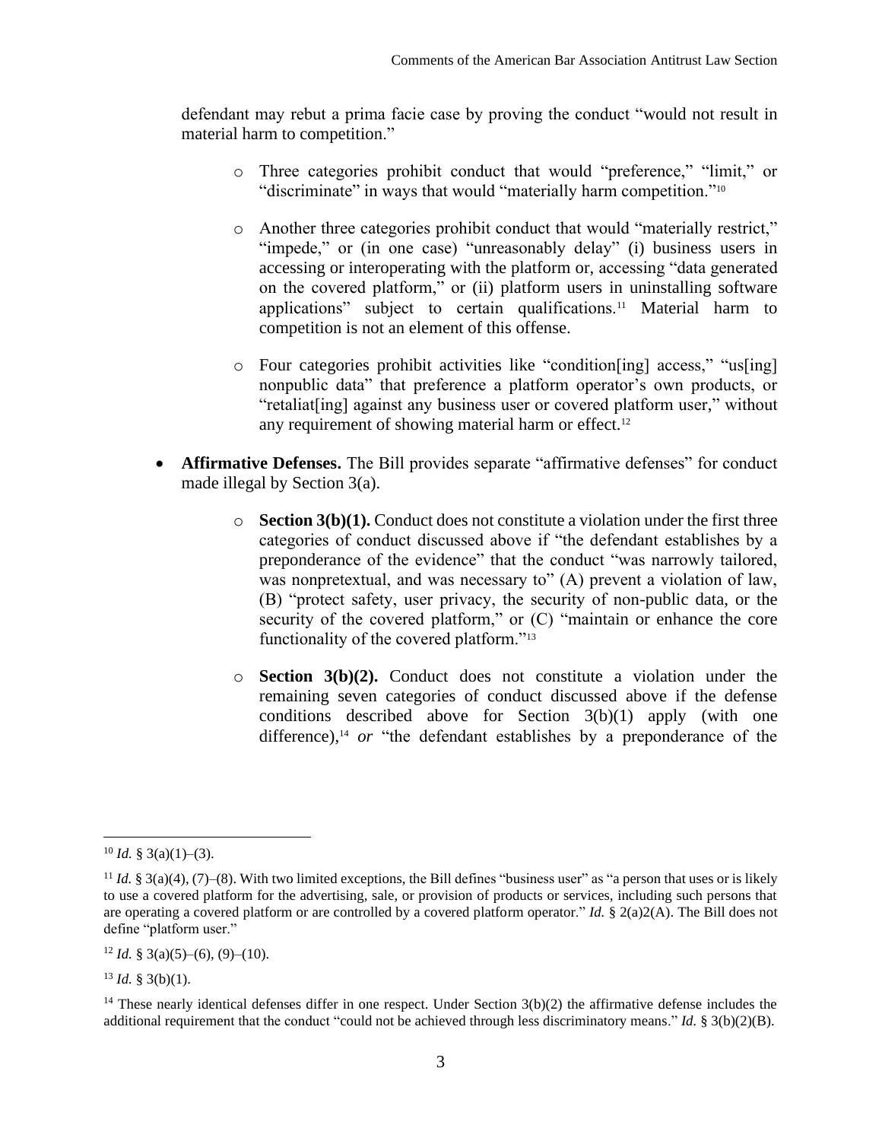defendant may rebut a prima facie case by proving the conduct "would not result in material harm to competition."

- o Three categories prohibit conduct that would "preference," "limit," or "discriminate" in ways that would "materially harm competition."<sup>10</sup>
- o Another three categories prohibit conduct that would "materially restrict," "impede," or (in one case) "unreasonably delay" (i) business users in accessing or interoperating with the platform or, accessing "data generated on the covered platform," or (ii) platform users in uninstalling software applications" subject to certain qualifications.<sup>11</sup> Material harm to competition is not an element of this offense.
- o Four categories prohibit activities like "condition[ing] access," "us[ing] nonpublic data" that preference a platform operator's own products, or "retaliat[ing] against any business user or covered platform user," without any requirement of showing material harm or effect.<sup>12</sup>
- **Affirmative Defenses.** The Bill provides separate "affirmative defenses" for conduct made illegal by Section 3(a).
	- $\circ$  **Section 3(b)(1).** Conduct does not constitute a violation under the first three categories of conduct discussed above if "the defendant establishes by a preponderance of the evidence" that the conduct "was narrowly tailored, was nonpretextual, and was necessary to" (A) prevent a violation of law, (B) "protect safety, user privacy, the security of non-public data, or the security of the covered platform," or  $(C)$  "maintain or enhance the core functionality of the covered platform."<sup>13</sup>
	- o **Section 3(b)(2).** Conduct does not constitute a violation under the remaining seven categories of conduct discussed above if the defense conditions described above for Section 3(b)(1) apply (with one difference), <sup>14</sup> *or* "the defendant establishes by a preponderance of the

 $12$  *Id.* § 3(a)(5)–(6), (9)–(10).

 $13$  *Id.* § 3(b)(1).

 $10$  *Id.* § 3(a)(1)–(3).

<sup>&</sup>lt;sup>11</sup> *Id.*  $\S$  3(a)(4), (7)–(8). With two limited exceptions, the Bill defines "business user" as "a person that uses or is likely to use a covered platform for the advertising, sale, or provision of products or services, including such persons that are operating a covered platform or are controlled by a covered platform operator." *Id.* § 2(a)2(A). The Bill does not define "platform user."

<sup>&</sup>lt;sup>14</sup> These nearly identical defenses differ in one respect. Under Section  $3(b)(2)$  the affirmative defense includes the additional requirement that the conduct "could not be achieved through less discriminatory means." *Id.* § 3(b)(2)(B).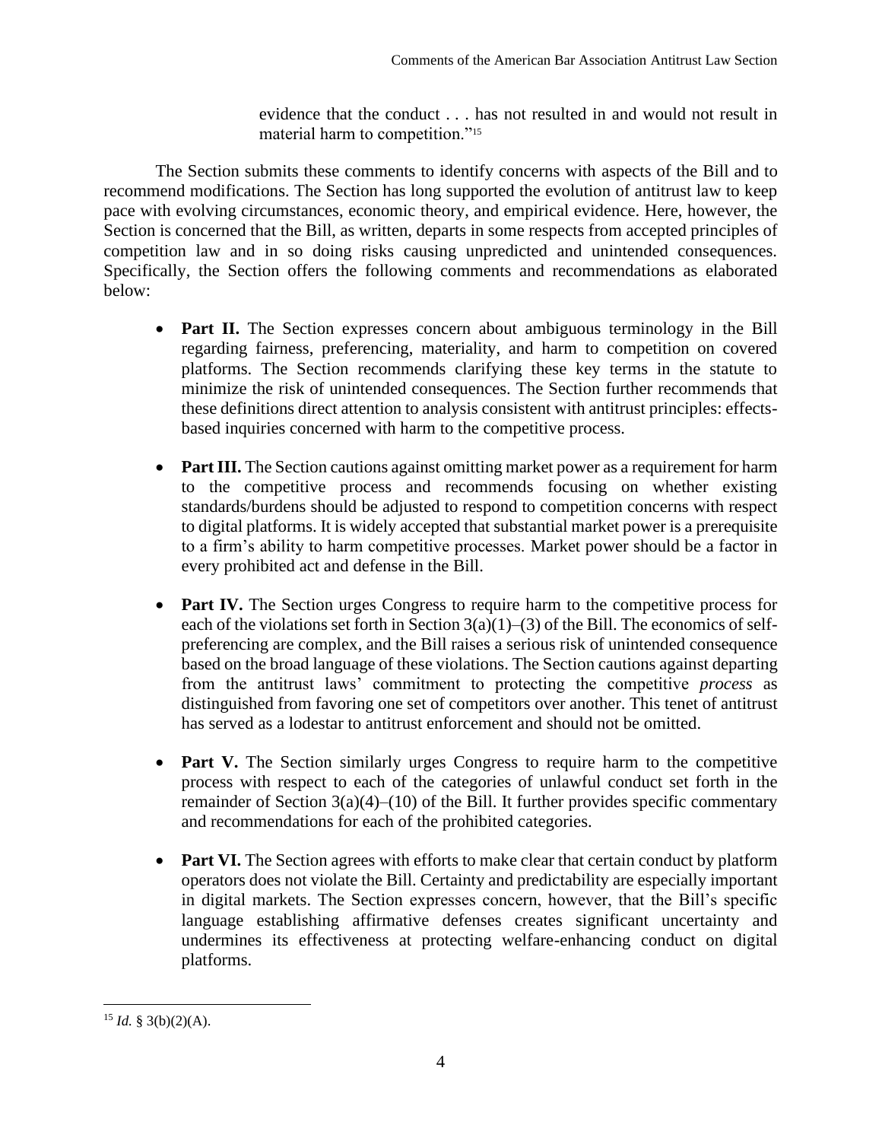evidence that the conduct . . . has not resulted in and would not result in material harm to competition."<sup>15</sup>

The Section submits these comments to identify concerns with aspects of the Bill and to recommend modifications. The Section has long supported the evolution of antitrust law to keep pace with evolving circumstances, economic theory, and empirical evidence. Here, however, the Section is concerned that the Bill, as written, departs in some respects from accepted principles of competition law and in so doing risks causing unpredicted and unintended consequences. Specifically, the Section offers the following comments and recommendations as elaborated below:

- **Part II.** The Section expresses concern about ambiguous terminology in the Bill regarding fairness, preferencing, materiality, and harm to competition on covered platforms. The Section recommends clarifying these key terms in the statute to minimize the risk of unintended consequences. The Section further recommends that these definitions direct attention to analysis consistent with antitrust principles: effectsbased inquiries concerned with harm to the competitive process.
- Part III. The Section cautions against omitting market power as a requirement for harm to the competitive process and recommends focusing on whether existing standards/burdens should be adjusted to respond to competition concerns with respect to digital platforms. It is widely accepted that substantial market power is a prerequisite to a firm's ability to harm competitive processes. Market power should be a factor in every prohibited act and defense in the Bill.
- **Part IV.** The Section urges Congress to require harm to the competitive process for each of the violations set forth in Section  $3(a)(1)-(3)$  of the Bill. The economics of selfpreferencing are complex, and the Bill raises a serious risk of unintended consequence based on the broad language of these violations. The Section cautions against departing from the antitrust laws' commitment to protecting the competitive *process* as distinguished from favoring one set of competitors over another. This tenet of antitrust has served as a lodestar to antitrust enforcement and should not be omitted.
- **Part V.** The Section similarly urges Congress to require harm to the competitive process with respect to each of the categories of unlawful conduct set forth in the remainder of Section  $3(a)(4)$ –(10) of the Bill. It further provides specific commentary and recommendations for each of the prohibited categories.
- **Part VI.** The Section agrees with efforts to make clear that certain conduct by platform operators does not violate the Bill. Certainty and predictability are especially important in digital markets. The Section expresses concern, however, that the Bill's specific language establishing affirmative defenses creates significant uncertainty and undermines its effectiveness at protecting welfare-enhancing conduct on digital platforms.

<sup>&</sup>lt;sup>15</sup> *Id.* § 3(b)(2)(A).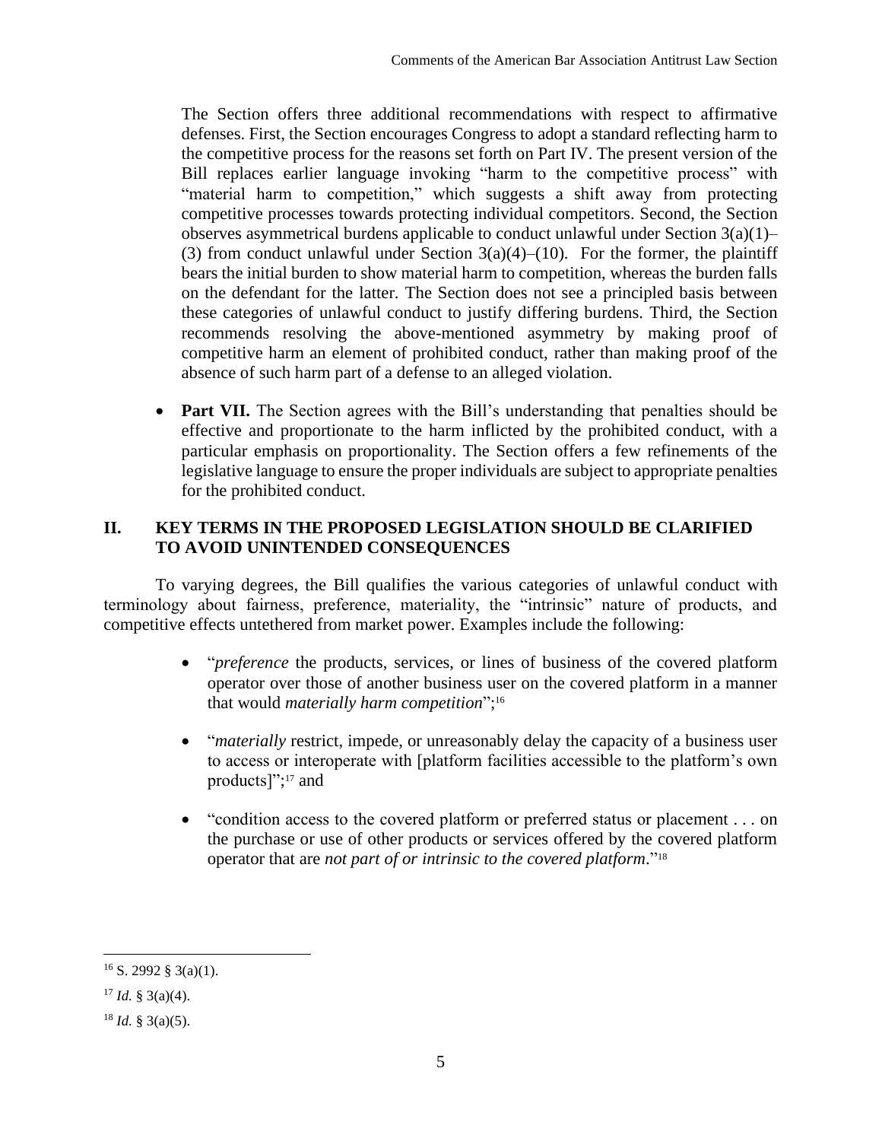The Section offers three additional recommendations with respect to affirmative defenses. First, the Section encourages Congress to adopt a standard reflecting harm to the competitive process for the reasons set forth on Part IV. The present version of the Bill replaces earlier language invoking "harm to the competitive process" with "material harm to competition," which suggests a shift away from protecting competitive processes towards protecting individual competitors. Second, the Section observes asymmetrical burdens applicable to conduct unlawful under Section  $3(a)(1)$ – (3) from conduct unlawful under Section  $3(a)(4)$ –(10). For the former, the plaintiff bears the initial burden to show material harm to competition, whereas the burden falls on the defendant for the latter. The Section does not see a principled basis between these categories of unlawful conduct to justify differing burdens. Third, the Section recommends resolving the above-mentioned asymmetry by making proof of competitive harm an element of prohibited conduct, rather than making proof of the absence of such harm part of a defense to an alleged violation.

• **Part VII.** The Section agrees with the Bill's understanding that penalties should be effective and proportionate to the harm inflicted by the prohibited conduct, with a particular emphasis on proportionality. The Section offers a few refinements of the legislative language to ensure the proper individuals are subject to appropriate penalties for the prohibited conduct.

# **II. KEY TERMS IN THE PROPOSED LEGISLATION SHOULD BE CLARIFIED TO AVOID UNINTENDED CONSEQUENCES**

To varying degrees, the Bill qualifies the various categories of unlawful conduct with terminology about fairness, preference, materiality, the "intrinsic" nature of products, and competitive effects untethered from market power. Examples include the following:

- "*preference* the products, services, or lines of business of the covered platform operator over those of another business user on the covered platform in a manner that would *materially harm competition*"; 16
- *"materially* restrict, impede, or unreasonably delay the capacity of a business user to access or interoperate with [platform facilities accessible to the platform's own products]"; <sup>17</sup> and
- "condition access to the covered platform or preferred status or placement . . . on the purchase or use of other products or services offered by the covered platform operator that are *not part of or intrinsic to the covered platform*." 18

 $16$  S. 2992 § 3(a)(1).

 $17$  *Id.* § 3(a)(4).

 $18$  *Id.* § 3(a)(5).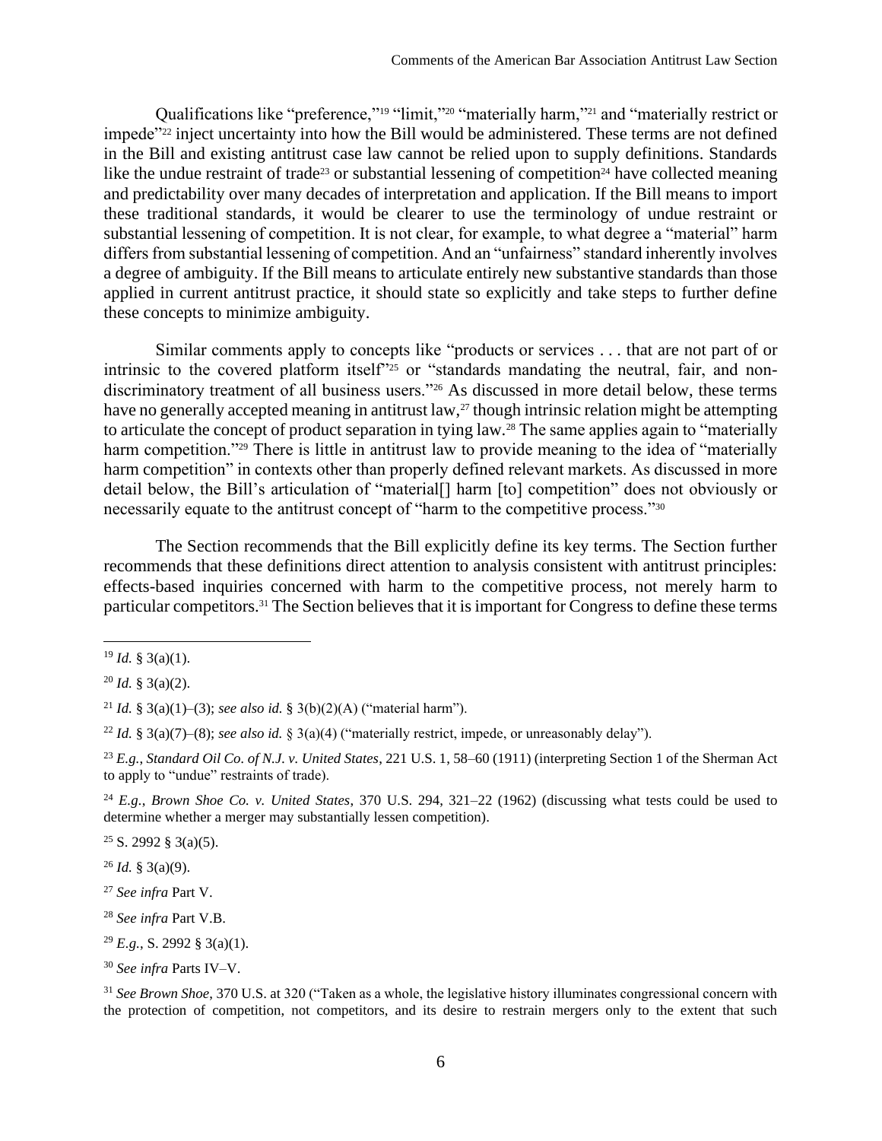Qualifications like "preference,"<sup>19</sup> "limit,"<sup>20</sup> "materially harm,"<sup>21</sup> and "materially restrict or impede"<sup>22</sup> inject uncertainty into how the Bill would be administered. These terms are not defined in the Bill and existing antitrust case law cannot be relied upon to supply definitions. Standards like the undue restraint of trade<sup>23</sup> or substantial lessening of competition<sup>24</sup> have collected meaning and predictability over many decades of interpretation and application. If the Bill means to import these traditional standards, it would be clearer to use the terminology of undue restraint or substantial lessening of competition. It is not clear, for example, to what degree a "material" harm differs from substantial lessening of competition. And an "unfairness" standard inherently involves a degree of ambiguity. If the Bill means to articulate entirely new substantive standards than those applied in current antitrust practice, it should state so explicitly and take steps to further define these concepts to minimize ambiguity.

Similar comments apply to concepts like "products or services . . . that are not part of or intrinsic to the covered platform itself"<sup>25</sup> or "standards mandating the neutral, fair, and nondiscriminatory treatment of all business users."<sup>26</sup> As discussed in more detail below, these terms have no generally accepted meaning in antitrust law,<sup>27</sup> though intrinsic relation might be attempting to articulate the concept of product separation in tying law.<sup>28</sup> The same applies again to "materially" harm competition."<sup>29</sup> There is little in antitrust law to provide meaning to the idea of "materially" harm competition" in contexts other than properly defined relevant markets. As discussed in more detail below, the Bill's articulation of "material[] harm [to] competition" does not obviously or necessarily equate to the antitrust concept of "harm to the competitive process."<sup>30</sup>

The Section recommends that the Bill explicitly define its key terms. The Section further recommends that these definitions direct attention to analysis consistent with antitrust principles: effects-based inquiries concerned with harm to the competitive process, not merely harm to particular competitors.<sup>31</sup> The Section believes that it is important for Congress to define these terms

 $25$  S. 2992 § 3(a)(5).

 $^{26}$  *Id.* § 3(a)(9).

- <sup>27</sup> *See infra* Part [V.](#page-12-0)
- <sup>28</sup> *See infra* Part [V](#page-12-0)[.B.](#page-15-0)
- <sup>29</sup> *E.g.*, S. 2992 § 3(a)(1).

 $19$  *Id.* § 3(a)(1).

<sup>20</sup> *Id.* § 3(a)(2).

<sup>21</sup> *Id.* § 3(a)(1)–(3); *see also id.* § 3(b)(2)(A) ("material harm").

<sup>&</sup>lt;sup>22</sup> *Id.* § 3(a)(7)–(8); *see also id.* § 3(a)(4) ("materially restrict, impede, or unreasonably delay").

<sup>23</sup> *E.g.*, *Standard Oil Co. of N.J. v. United States*, 221 U.S. 1, 58–60 (1911) (interpreting Section 1 of the Sherman Act to apply to "undue" restraints of trade).

<sup>24</sup> *E.g.*, *Brown Shoe Co. v. United States*, 370 U.S. 294, 321–22 (1962) (discussing what tests could be used to determine whether a merger may substantially lessen competition).

<sup>30</sup> *See infra* Parts [IV–](#page-10-0)[V.](#page-12-0)

<sup>31</sup> *See Brown Shoe*, 370 U.S. at 320 ("Taken as a whole, the legislative history illuminates congressional concern with the protection of competition, not competitors, and its desire to restrain mergers only to the extent that such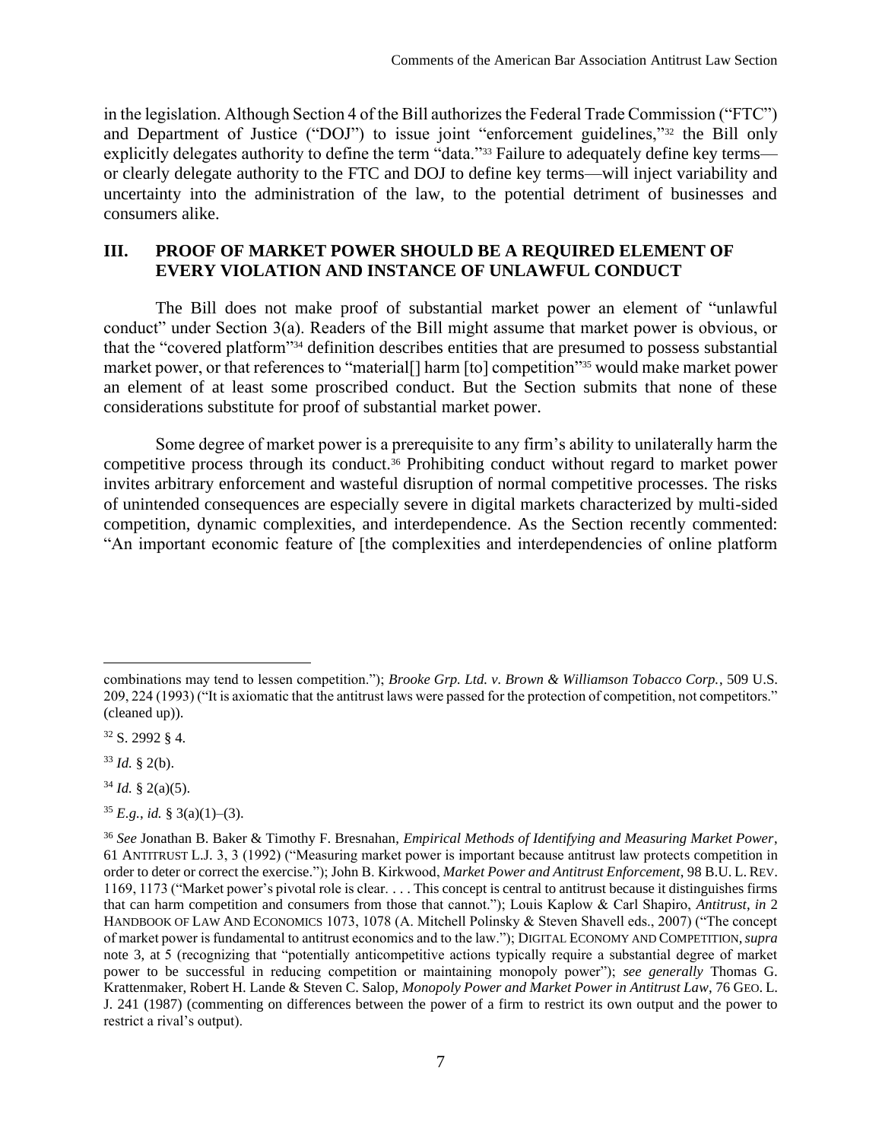in the legislation. Although Section 4 of the Bill authorizes the Federal Trade Commission ("FTC") and Department of Justice ("DOJ") to issue joint "enforcement guidelines,"<sup>32</sup> the Bill only explicitly delegates authority to define the term "data."<sup>33</sup> Failure to adequately define key terms or clearly delegate authority to the FTC and DOJ to define key terms—will inject variability and uncertainty into the administration of the law, to the potential detriment of businesses and consumers alike.

## <span id="page-7-0"></span>**III. PROOF OF MARKET POWER SHOULD BE A REQUIRED ELEMENT OF EVERY VIOLATION AND INSTANCE OF UNLAWFUL CONDUCT**

The Bill does not make proof of substantial market power an element of "unlawful conduct" under Section 3(a). Readers of the Bill might assume that market power is obvious, or that the "covered platform"<sup>34</sup> definition describes entities that are presumed to possess substantial market power, or that references to "material<sup>[]</sup> harm [to] competition"<sup>355</sup> would make market power an element of at least some proscribed conduct. But the Section submits that none of these considerations substitute for proof of substantial market power.

Some degree of market power is a prerequisite to any firm's ability to unilaterally harm the competitive process through its conduct.<sup>36</sup> Prohibiting conduct without regard to market power invites arbitrary enforcement and wasteful disruption of normal competitive processes. The risks of unintended consequences are especially severe in digital markets characterized by multi-sided competition, dynamic complexities, and interdependence. As the Section recently commented: "An important economic feature of [the complexities and interdependencies of online platform

 $34$  *Id.* § 2(a)(5).

 $35$  *E.g.*, *id.* § 3(a)(1)–(3).

combinations may tend to lessen competition."); *Brooke Grp. Ltd. v. Brown & Williamson Tobacco Corp.*, 509 U.S. 209, 224 (1993) ("It is axiomatic that the antitrust laws were passed for the protection of competition, not competitors." (cleaned up)).

<sup>32</sup> S. 2992 § 4.

 $33$  *Id.* § 2(b).

<sup>36</sup> *See* Jonathan B. Baker & Timothy F. Bresnahan, *Empirical Methods of Identifying and Measuring Market Power*, 61 ANTITRUST L.J. 3, 3 (1992) ("Measuring market power is important because antitrust law protects competition in order to deter or correct the exercise."); John B. Kirkwood, *Market Power and Antitrust Enforcement*, 98 B.U. L. REV. 1169, 1173 ("Market power's pivotal role is clear. . . . This concept is central to antitrust because it distinguishes firms that can harm competition and consumers from those that cannot."); Louis Kaplow & Carl Shapiro, *Antitrust*, *in* 2 HANDBOOK OF LAW AND ECONOMICS 1073, 1078 (A. Mitchell Polinsky & Steven Shavell eds., 2007) ("The concept of market power is fundamental to antitrust economics and to the law."); DIGITAL ECONOMY AND COMPETITION,*supra* note [3,](#page-1-0) at 5 (recognizing that "potentially anticompetitive actions typically require a substantial degree of market power to be successful in reducing competition or maintaining monopoly power"); *see generally* Thomas G. Krattenmaker, Robert H. Lande & Steven C. Salop, *Monopoly Power and Market Power in Antitrust Law*, 76 GEO. L. J. 241 (1987) (commenting on differences between the power of a firm to restrict its own output and the power to restrict a rival's output).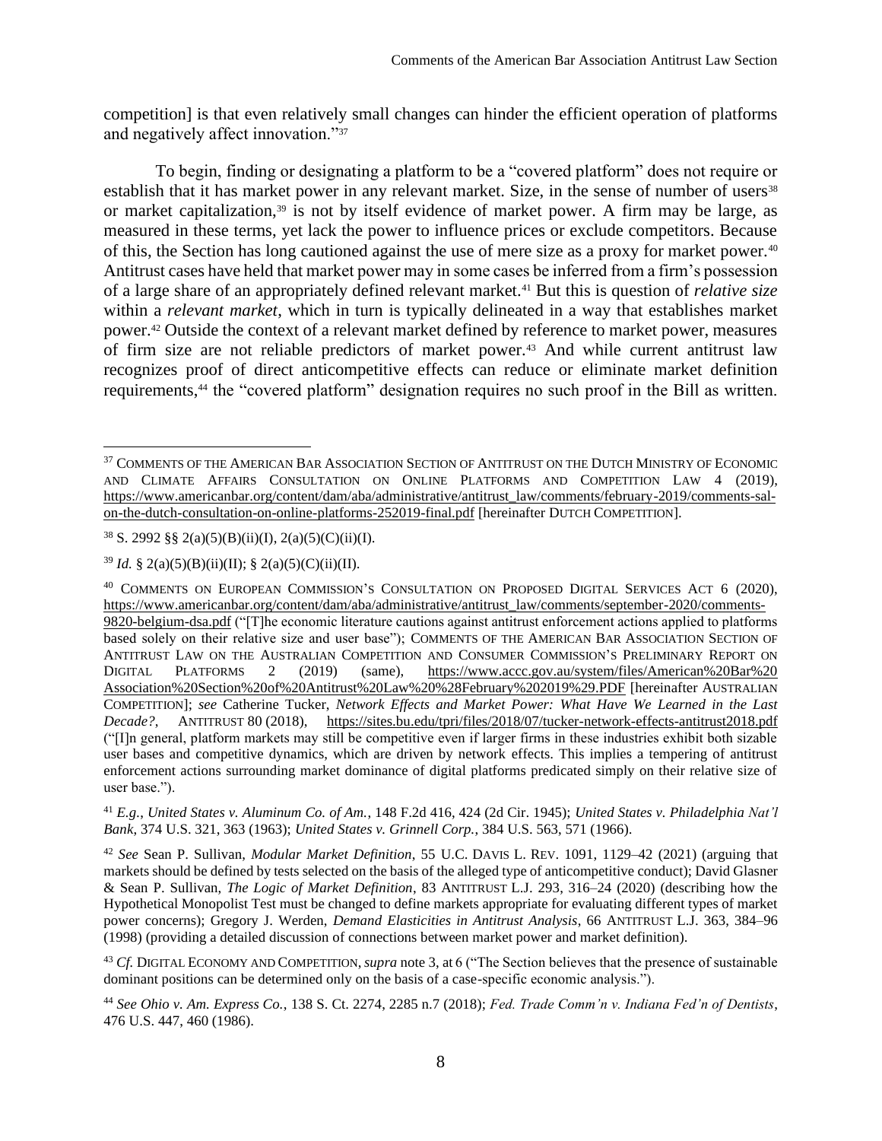<span id="page-8-1"></span>competition] is that even relatively small changes can hinder the efficient operation of platforms and negatively affect innovation."<sup>37</sup>

<span id="page-8-0"></span>To begin, finding or designating a platform to be a "covered platform" does not require or establish that it has market power in any relevant market. Size, in the sense of number of users<sup>38</sup> or market capitalization,<sup>39</sup> is not by itself evidence of market power. A firm may be large, as measured in these terms, yet lack the power to influence prices or exclude competitors. Because of this, the Section has long cautioned against the use of mere size as a proxy for market power.<sup>40</sup> Antitrust cases have held that market power may in some cases be inferred from a firm's possession of a large share of an appropriately defined relevant market.<sup>41</sup> But this is question of *relative size* within a *relevant market*, which in turn is typically delineated in a way that establishes market power.<sup>42</sup> Outside the context of a relevant market defined by reference to market power, measures of firm size are not reliable predictors of market power.<sup>43</sup> And while current antitrust law recognizes proof of direct anticompetitive effects can reduce or eliminate market definition requirements,<sup>44</sup> the "covered platform" designation requires no such proof in the Bill as written.

<sup>41</sup> *E.g.*, *United States v. Aluminum Co. of Am.*, 148 F.2d 416, 424 (2d Cir. 1945); *United States v. Philadelphia Nat'l Bank*, 374 U.S. 321, 363 (1963); *United States v. Grinnell Corp.*, 384 U.S. 563, 571 (1966).

<sup>42</sup> *See* Sean P. Sullivan, *Modular Market Definition*, 55 U.C. DAVIS L. REV. 1091, 1129–42 (2021) (arguing that markets should be defined by tests selected on the basis of the alleged type of anticompetitive conduct); David Glasner & Sean P. Sullivan, *The Logic of Market Definition*, 83 ANTITRUST L.J. 293, 316–24 (2020) (describing how the Hypothetical Monopolist Test must be changed to define markets appropriate for evaluating different types of market power concerns); Gregory J. Werden, *Demand Elasticities in Antitrust Analysis*, 66 ANTITRUST L.J. 363, 384–96 (1998) (providing a detailed discussion of connections between market power and market definition).

<sup>43</sup> *Cf.* DIGITAL ECONOMY AND COMPETITION, *supra* note [3,](#page-1-0) at 6 ("The Section believes that the presence of sustainable dominant positions can be determined only on the basis of a case-specific economic analysis.").

<sup>&</sup>lt;sup>37</sup> COMMENTS OF THE AMERICAN BAR ASSOCIATION SECTION OF ANTITRUST ON THE DUTCH MINISTRY OF ECONOMIC AND CLIMATE AFFAIRS CONSULTATION ON ONLINE PLATFORMS AND COMPETITION LAW 4 (2019), [https://www.americanbar.org/content/dam/aba/administrative/antitrust\\_law/comments/february-2019/comments-sal](https://www.americanbar.org/content/dam/aba/administrative/antitrust_law/comments/february-2019/comments-sal-on-the-dutch-consultation-on-online-platforms-252019-final.pdf)[on-the-dutch-consultation-on-online-platforms-252019-final.pdf](https://www.americanbar.org/content/dam/aba/administrative/antitrust_law/comments/february-2019/comments-sal-on-the-dutch-consultation-on-online-platforms-252019-final.pdf) [hereinafter DUTCH COMPETITION].

 $38$  S. 2992 §§ 2(a)(5)(B)(ii)(I), 2(a)(5)(C)(ii)(I).

<sup>&</sup>lt;sup>39</sup> *Id.* § 2(a)(5)(B)(ii)(II); § 2(a)(5)(C)(ii)(II).

<sup>40</sup> COMMENTS ON EUROPEAN COMMISSION'S CONSULTATION ON PROPOSED DIGITAL SERVICES ACT 6 (2020), [https://www.americanbar.org/content/dam/aba/administrative/antitrust\\_law/comments/september-2020/comments-](https://www.americanbar.org/content/dam/aba/administrative/antitrust_law/comments/september-2020/comments-9820-belgium-dsa.pdf)[9820-belgium-dsa.pdf](https://www.americanbar.org/content/dam/aba/administrative/antitrust_law/comments/september-2020/comments-9820-belgium-dsa.pdf) ("[T]he economic literature cautions against antitrust enforcement actions applied to platforms based solely on their relative size and user base"); COMMENTS OF THE AMERICAN BAR ASSOCIATION SECTION OF ANTITRUST LAW ON THE AUSTRALIAN COMPETITION AND CONSUMER COMMISSION'S PRELIMINARY REPORT ON DIGITAL PLATFORMS 2 (2019) (same), [https://www.accc.gov.au/system/files/American%20Bar%20](https://www.accc.gov.au/system/files/American%20Bar%25‌20Association%20Section%20of%20Antitrust%20Law%20%28February%202019%29.PDF) [Association%20Section%20of%20Antitrust%20Law%20%28February%202019%29.PDF](https://www.accc.gov.au/system/files/American%20Bar%25‌20Association%20Section%20of%20Antitrust%20Law%20%28February%202019%29.PDF) [hereinafter AUSTRALIAN COMPETITION]; *see* Catherine Tucker, *Network Effects and Market Power: What Have We Learned in the Last Decade?*, ANTITRUST 80 (2018), <https://sites.bu.edu/tpri/files/2018/07/tucker-network-effects-antitrust2018.pdf> ("[I]n general, platform markets may still be competitive even if larger firms in these industries exhibit both sizable user bases and competitive dynamics, which are driven by network effects. This implies a tempering of antitrust enforcement actions surrounding market dominance of digital platforms predicated simply on their relative size of user base.").

<sup>44</sup> *See Ohio v. Am. Express Co.*, 138 S. Ct. 2274, 2285 n.7 (2018); *Fed. Trade Comm'n v. Indiana Fed'n of Dentists*, 476 U.S. 447, 460 (1986).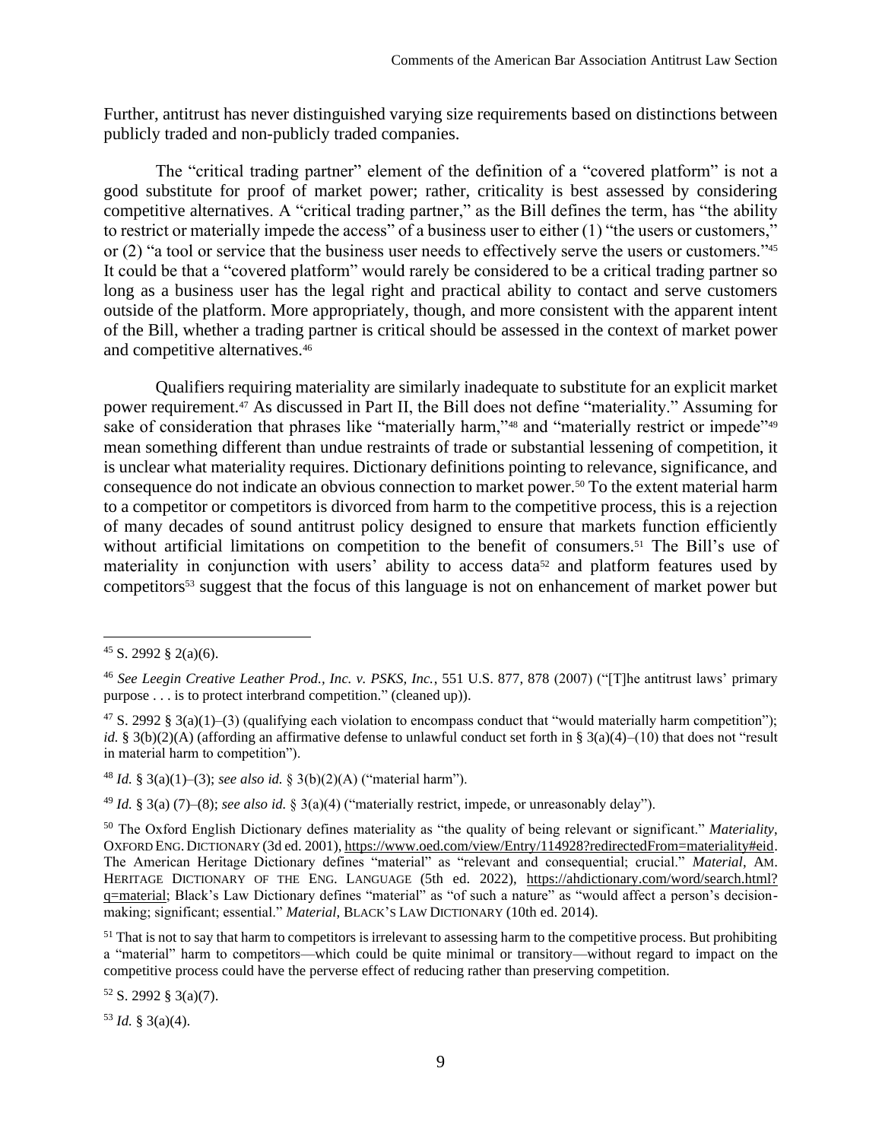Further, antitrust has never distinguished varying size requirements based on distinctions between publicly traded and non-publicly traded companies.

The "critical trading partner" element of the definition of a "covered platform" is not a good substitute for proof of market power; rather, criticality is best assessed by considering competitive alternatives. A "critical trading partner," as the Bill defines the term, has "the ability to restrict or materially impede the access" of a business user to either (1) "the users or customers," or (2) "a tool or service that the business user needs to effectively serve the users or customers."<sup>45</sup> It could be that a "covered platform" would rarely be considered to be a critical trading partner so long as a business user has the legal right and practical ability to contact and serve customers outside of the platform. More appropriately, though, and more consistent with the apparent intent of the Bill, whether a trading partner is critical should be assessed in the context of market power and competitive alternatives.<sup>46</sup>

Qualifiers requiring materiality are similarly inadequate to substitute for an explicit market power requirement.<sup>47</sup> As discussed in Part II, the Bill does not define "materiality." Assuming for sake of consideration that phrases like "materially harm,"<sup>48</sup> and "materially restrict or impede"<sup>49</sup> mean something different than undue restraints of trade or substantial lessening of competition, it is unclear what materiality requires. Dictionary definitions pointing to relevance, significance, and consequence do not indicate an obvious connection to market power.<sup>50</sup> To the extent material harm to a competitor or competitors is divorced from harm to the competitive process, this is a rejection of many decades of sound antitrust policy designed to ensure that markets function efficiently without artificial limitations on competition to the benefit of consumers.<sup>51</sup> The Bill's use of materiality in conjunction with users' ability to access data<sup>52</sup> and platform features used by competitors<sup>53</sup> suggest that the focus of this language is not on enhancement of market power but

<sup>52</sup> S. 2992 § 3(a)(7).

 $53$  *Id.* § 3(a)(4).

 $45$  S. 2992 § 2(a)(6).

<sup>46</sup> *See Leegin Creative Leather Prod., Inc. v. PSKS, Inc.*, 551 U.S. 877, 878 (2007) ("[T]he antitrust laws' primary purpose . . . is to protect interbrand competition." (cleaned up)).

<sup>&</sup>lt;sup>47</sup> S. 2992 § 3(a)(1)–(3) (qualifying each violation to encompass conduct that "would materially harm competition"); *id.* § 3(b)(2)(A) (affording an affirmative defense to unlawful conduct set forth in § 3(a)(4)–(10) that does not "result in material harm to competition").

<sup>48</sup> *Id.* § 3(a)(1)–(3); *see also id.* § 3(b)(2)(A) ("material harm").

<sup>49</sup> *Id.* § 3(a) (7)–(8); *see also id.* § 3(a)(4) ("materially restrict, impede, or unreasonably delay").

<sup>50</sup> The Oxford English Dictionary defines materiality as "the quality of being relevant or significant." *Materiality*, OXFORD ENG. DICTIONARY (3d ed. 2001)[, https://www.oed.com/view/Entry/114928?redirectedFrom=materiality#eid.](https://www.oed.com/view/Entry/114928?redirectedFrom=materiality%23eid) The American Heritage Dictionary defines "material" as "relevant and consequential; crucial." *Material*, AM. HERITAGE DICTIONARY OF THE ENG. LANGUAGE (5th ed. 2022), [https://ahdictionary.com/word/search.html?](https://ahdictionary.com/word/search.html?q=material) [q=material;](https://ahdictionary.com/word/search.html?q=material) Black's Law Dictionary defines "material" as "of such a nature" as "would affect a person's decisionmaking; significant; essential." *Material*, BLACK'S LAW DICTIONARY (10th ed. 2014).

 $51$  That is not to say that harm to competitors is irrelevant to assessing harm to the competitive process. But prohibiting a "material" harm to competitors—which could be quite minimal or transitory—without regard to impact on the competitive process could have the perverse effect of reducing rather than preserving competition.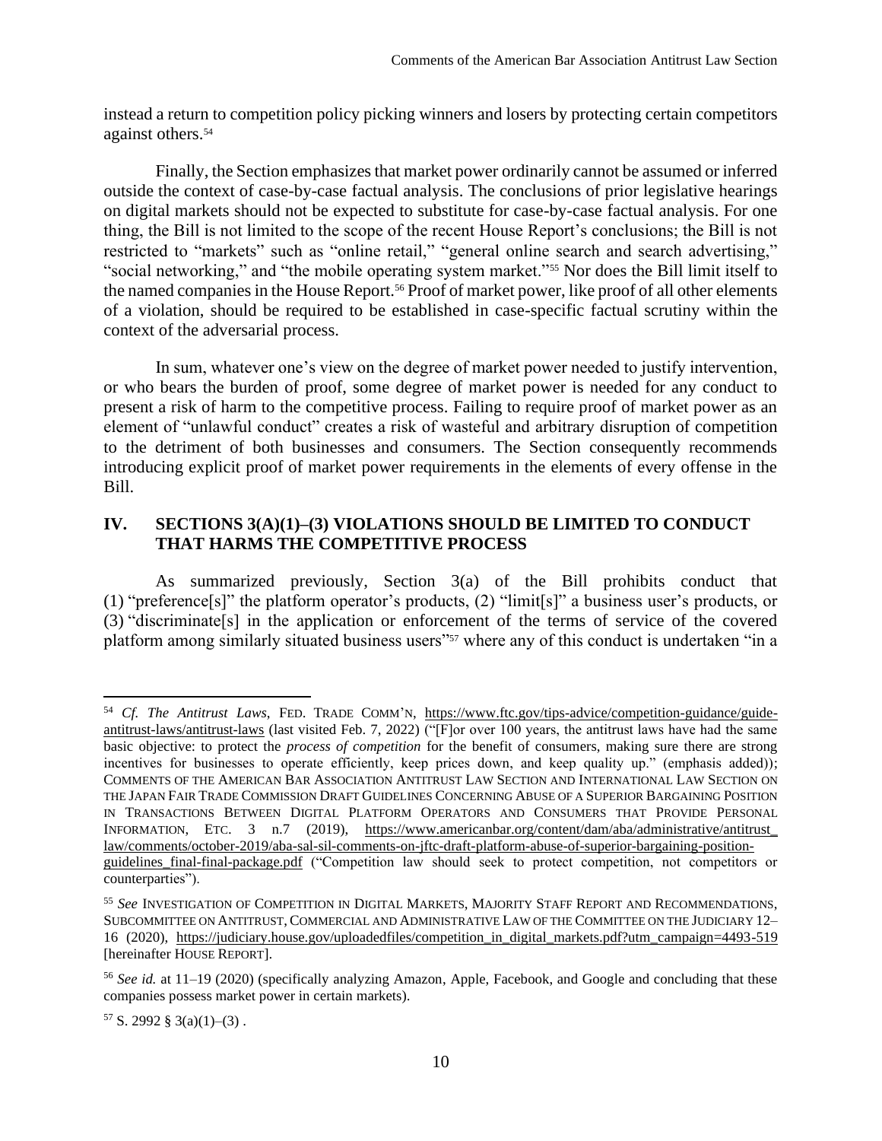instead a return to competition policy picking winners and losers by protecting certain competitors against others.<sup>54</sup>

Finally, the Section emphasizes that market power ordinarily cannot be assumed or inferred outside the context of case-by-case factual analysis. The conclusions of prior legislative hearings on digital markets should not be expected to substitute for case-by-case factual analysis. For one thing, the Bill is not limited to the scope of the recent House Report's conclusions; the Bill is not restricted to "markets" such as "online retail," "general online search and search advertising," "social networking," and "the mobile operating system market."<sup>55</sup> Nor does the Bill limit itself to the named companies in the House Report.<sup>56</sup> Proof of market power, like proof of all other elements of a violation, should be required to be established in case-specific factual scrutiny within the context of the adversarial process.

In sum, whatever one's view on the degree of market power needed to justify intervention, or who bears the burden of proof, some degree of market power is needed for any conduct to present a risk of harm to the competitive process. Failing to require proof of market power as an element of "unlawful conduct" creates a risk of wasteful and arbitrary disruption of competition to the detriment of both businesses and consumers. The Section consequently recommends introducing explicit proof of market power requirements in the elements of every offense in the Bill.

# <span id="page-10-0"></span>**IV. SECTIONS 3(A)(1)–(3) VIOLATIONS SHOULD BE LIMITED TO CONDUCT THAT HARMS THE COMPETITIVE PROCESS**

As summarized previously, Section 3(a) of the Bill prohibits conduct that (1) "preference[s]" the platform operator's products, (2) "limit[s]" a business user's products, or (3) "discriminate[s] in the application or enforcement of the terms of service of the covered platform among similarly situated business users"<sup>57</sup> where any of this conduct is undertaken "in a

<sup>54</sup> *Cf. The Antitrust Laws*, FED. TRADE COMM'N, [https://www.ftc.gov/tips-advice/competition-guidance/guide](https://www.ftc.gov/tips-advice/competition-guidance/guide-antitrust-laws/antitrust-laws)[antitrust-laws/antitrust-laws](https://www.ftc.gov/tips-advice/competition-guidance/guide-antitrust-laws/antitrust-laws) (last visited Feb. 7, 2022) ("[F]or over 100 years, the antitrust laws have had the same basic objective: to protect the *process of competition* for the benefit of consumers, making sure there are strong incentives for businesses to operate efficiently, keep prices down, and keep quality up." (emphasis added)); COMMENTS OF THE AMERICAN BAR ASSOCIATION ANTITRUST LAW SECTION AND INTERNATIONAL LAW SECTION ON THE JAPAN FAIR TRADE COMMISSION DRAFT GUIDELINES CONCERNING ABUSE OF A SUPERIOR BARGAINING POSITION IN TRANSACTIONS BETWEEN DIGITAL PLATFORM OPERATORS AND CONSUMERS THAT PROVIDE PERSONAL INFORMATION, ETC. 3 n.7 (2019), [https://www.americanbar.org/content/dam/aba/administrative/antitrust\\_](https://www.americanbar.org/content/dam/aba/administrative/antitrust_‌law/comments/october-2019/aba-sal-sil-comments-on-jftc-draft-platform-abuse-of-superior-bargaining-position-guidelines_final-final-package.pdf) [law/comments/october-2019/aba-sal-sil-comments-on-jftc-draft-platform-abuse-of-superior-bargaining-position](https://www.americanbar.org/content/dam/aba/administrative/antitrust_‌law/comments/october-2019/aba-sal-sil-comments-on-jftc-draft-platform-abuse-of-superior-bargaining-position-guidelines_final-final-package.pdf)[guidelines\\_final-final-package.pdf](https://www.americanbar.org/content/dam/aba/administrative/antitrust_‌law/comments/october-2019/aba-sal-sil-comments-on-jftc-draft-platform-abuse-of-superior-bargaining-position-guidelines_final-final-package.pdf) ("Competition law should seek to protect competition, not competitors or counterparties").

<sup>55</sup> *See* INVESTIGATION OF COMPETITION IN DIGITAL MARKETS, MAJORITY STAFF REPORT AND RECOMMENDATIONS, SUBCOMMITTEE ON ANTITRUST, COMMERCIAL AND ADMINISTRATIVE LAW OF THE COMMITTEE ON THE JUDICIARY 12– 16 (2020), [https://judiciary.house.gov/uploadedfiles/competition\\_in\\_digital\\_markets.pdf?utm\\_campaign=4493-519](https://judiciary.house.gov/uploadedfiles/competition_in_digital_markets.pdf?utm_campaign=4493-519) [hereinafter HOUSE REPORT].

<sup>56</sup> *See id.* at 11–19 (2020) (specifically analyzing Amazon, Apple, Facebook, and Google and concluding that these companies possess market power in certain markets).

 $57$  S. 2992 § 3(a)(1)–(3).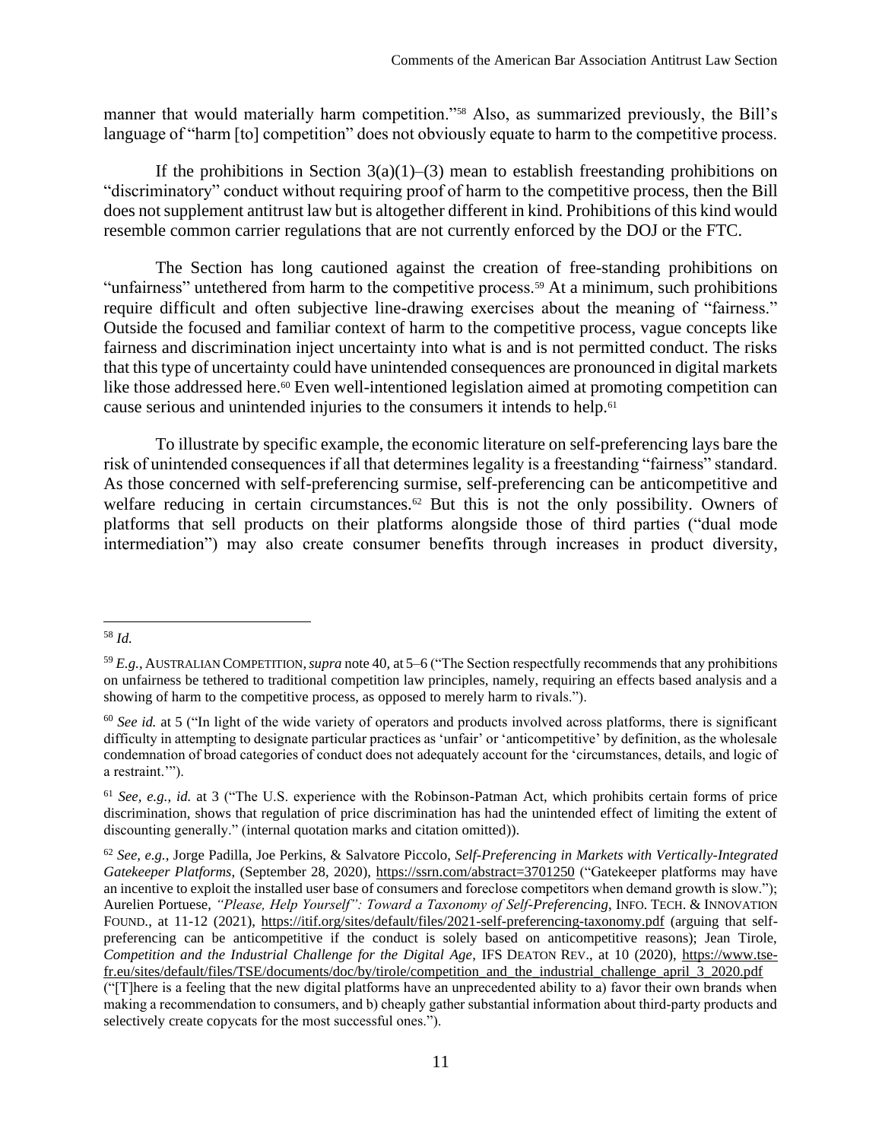manner that would materially harm competition."<sup>58</sup> Also, as summarized previously, the Bill's language of "harm [to] competition" does not obviously equate to harm to the competitive process.

If the prohibitions in Section  $3(a)(1)$ –(3) mean to establish freestanding prohibitions on "discriminatory" conduct without requiring proof of harm to the competitive process, then the Bill does not supplement antitrust law but is altogether different in kind. Prohibitions of this kind would resemble common carrier regulations that are not currently enforced by the DOJ or the FTC.

The Section has long cautioned against the creation of free-standing prohibitions on "unfairness" untethered from harm to the competitive process.<sup>59</sup> At a minimum, such prohibitions require difficult and often subjective line-drawing exercises about the meaning of "fairness." Outside the focused and familiar context of harm to the competitive process, vague concepts like fairness and discrimination inject uncertainty into what is and is not permitted conduct. The risks that this type of uncertainty could have unintended consequences are pronounced in digital markets like those addressed here.<sup>60</sup> Even well-intentioned legislation aimed at promoting competition can cause serious and unintended injuries to the consumers it intends to help.<sup>61</sup>

<span id="page-11-0"></span>To illustrate by specific example, the economic literature on self-preferencing lays bare the risk of unintended consequences if all that determines legality is a freestanding "fairness" standard. As those concerned with self-preferencing surmise, self-preferencing can be anticompetitive and welfare reducing in certain circumstances.<sup>62</sup> But this is not the only possibility. Owners of platforms that sell products on their platforms alongside those of third parties ("dual mode intermediation") may also create consumer benefits through increases in product diversity,

<sup>58</sup> *Id.*

<sup>59</sup> *E.g.*, AUSTRALIAN COMPETITION,*supra* not[e 40,](#page-8-0) at 5–6 ("The Section respectfully recommends that any prohibitions on unfairness be tethered to traditional competition law principles, namely, requiring an effects based analysis and a showing of harm to the competitive process, as opposed to merely harm to rivals.").

<sup>&</sup>lt;sup>60</sup> See id. at 5 ("In light of the wide variety of operators and products involved across platforms, there is significant difficulty in attempting to designate particular practices as 'unfair' or 'anticompetitive' by definition, as the wholesale condemnation of broad categories of conduct does not adequately account for the 'circumstances, details, and logic of a restraint.'").

<sup>61</sup> *See, e.g.*, *id.* at 3 ("The U.S. experience with the Robinson-Patman Act, which prohibits certain forms of price discrimination, shows that regulation of price discrimination has had the unintended effect of limiting the extent of discounting generally." (internal quotation marks and citation omitted)).

<sup>62</sup> *See, e.g.*, Jorge Padilla, Joe Perkins, & Salvatore Piccolo, *Self-Preferencing in Markets with Vertically-Integrated Gatekeeper Platforms*, (September 28, 2020),<https://ssrn.com/abstract=3701250> ("Gatekeeper platforms may have an incentive to exploit the installed user base of consumers and foreclose competitors when demand growth is slow."); Aurelien Portuese, *"Please, Help Yourself": Toward a Taxonomy of Self-Preferencing*, INFO. TECH. & INNOVATION FOUND., at 11-12 (2021),<https://itif.org/sites/default/files/2021-self-preferencing-taxonomy.pdf> (arguing that selfpreferencing can be anticompetitive if the conduct is solely based on anticompetitive reasons); Jean Tirole, *Competition and the Industrial Challenge for the Digital Age*, IFS DEATON REV., at 10 (2020), [https://www.tse](https://www.tse-fr.eu/sites/default/files/TSE/documents/doc/by/tirole/competition_and_the_industrial_challenge_april_3_2020.pdf)[fr.eu/sites/default/files/TSE/documents/doc/by/tirole/competition\\_and\\_the\\_industrial\\_challenge\\_april\\_3\\_2020.pdf](https://www.tse-fr.eu/sites/default/files/TSE/documents/doc/by/tirole/competition_and_the_industrial_challenge_april_3_2020.pdf)

<sup>(&</sup>quot;[T]here is a feeling that the new digital platforms have an unprecedented ability to a) favor their own brands when making a recommendation to consumers, and b) cheaply gather substantial information about third‐party products and selectively create copycats for the most successful ones.").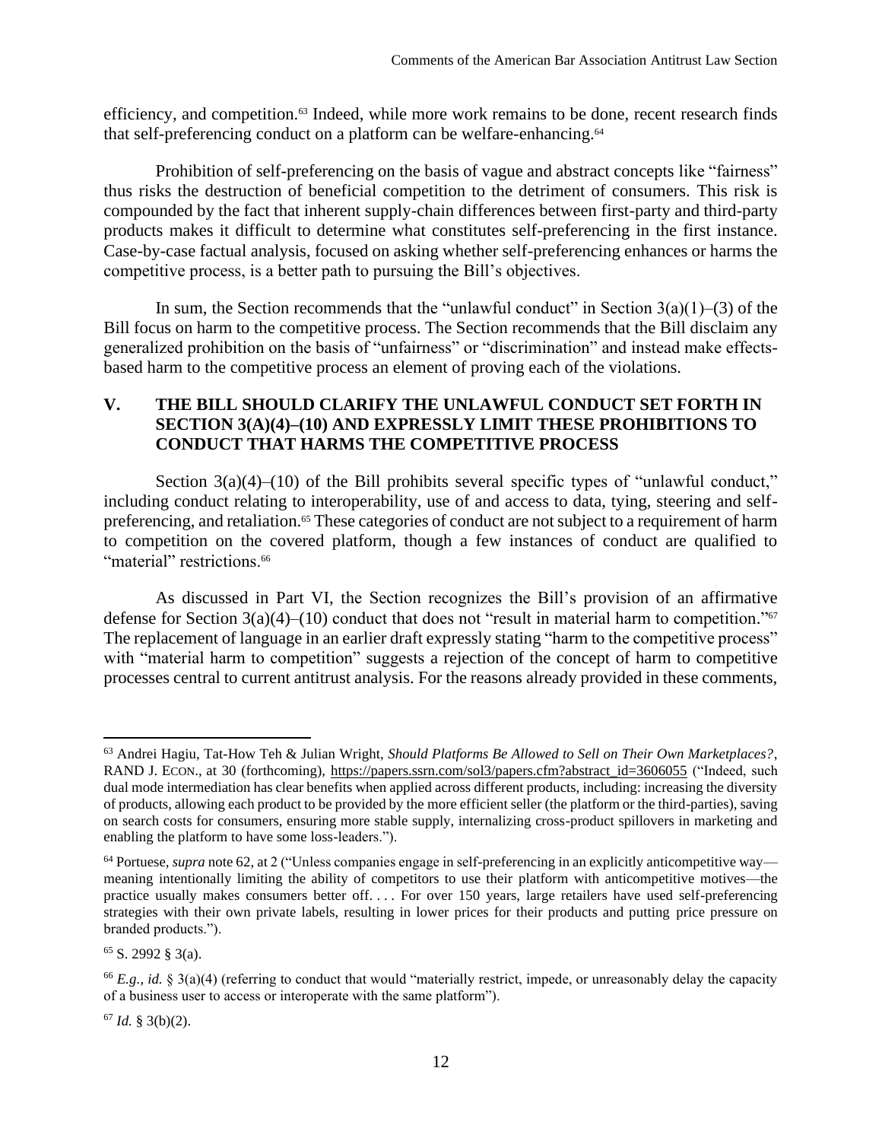efficiency, and competition.<sup>63</sup> Indeed, while more work remains to be done, recent research finds that self-preferencing conduct on a platform can be welfare-enhancing.<sup>64</sup>

Prohibition of self-preferencing on the basis of vague and abstract concepts like "fairness" thus risks the destruction of beneficial competition to the detriment of consumers. This risk is compounded by the fact that inherent supply-chain differences between first-party and third-party products makes it difficult to determine what constitutes self-preferencing in the first instance. Case-by-case factual analysis, focused on asking whether self-preferencing enhances or harms the competitive process, is a better path to pursuing the Bill's objectives.

In sum, the Section recommends that the "unlawful conduct" in Section  $3(a)(1)-(3)$  of the Bill focus on harm to the competitive process. The Section recommends that the Bill disclaim any generalized prohibition on the basis of "unfairness" or "discrimination" and instead make effectsbased harm to the competitive process an element of proving each of the violations.

# <span id="page-12-0"></span>**V. THE BILL SHOULD CLARIFY THE UNLAWFUL CONDUCT SET FORTH IN SECTION 3(A)(4)–(10) AND EXPRESSLY LIMIT THESE PROHIBITIONS TO CONDUCT THAT HARMS THE COMPETITIVE PROCESS**

Section  $3(a)(4)$ –(10) of the Bill prohibits several specific types of "unlawful conduct," including conduct relating to interoperability, use of and access to data, tying, steering and selfpreferencing, and retaliation.<sup>65</sup> These categories of conduct are not subject to a requirement of harm to competition on the covered platform, though a few instances of conduct are qualified to "material" restrictions.<sup>66</sup>

As discussed in Part VI, the Section recognizes the Bill's provision of an affirmative defense for Section  $3(a)(4)$ –(10) conduct that does not "result in material harm to competition."<sup>67</sup> The replacement of language in an earlier draft expressly stating "harm to the competitive process" with "material harm to competition" suggests a rejection of the concept of harm to competitive processes central to current antitrust analysis. For the reasons already provided in these comments,

 $65$  S. 2992  $\text{\&}$  3(a).

 $67$  *Id.* § 3(b)(2).

<sup>63</sup> Andrei Hagiu, Tat-How Teh & Julian Wright, *Should Platforms Be Allowed to Sell on Their Own Marketplaces?*, RAND J. ECON., at 30 (forthcoming), [https://papers.ssrn.com/sol3/papers.cfm?abstract\\_id=3606055](https://papers.ssrn.com/sol3/papers.cfm?abstract_id=3606055) ("Indeed, such dual mode intermediation has clear benefits when applied across different products, including: increasing the diversity of products, allowing each product to be provided by the more efficient seller (the platform or the third-parties), saving on search costs for consumers, ensuring more stable supply, internalizing cross-product spillovers in marketing and enabling the platform to have some loss-leaders.").

<sup>64</sup> Portuese, *supra* note [62,](#page-11-0) at 2 ("Unless companies engage in self-preferencing in an explicitly anticompetitive way meaning intentionally limiting the ability of competitors to use their platform with anticompetitive motives—the practice usually makes consumers better off. . . . For over 150 years, large retailers have used self-preferencing strategies with their own private labels, resulting in lower prices for their products and putting price pressure on branded products.").

<sup>66</sup> *E.g.*, *id.* § 3(a)(4) (referring to conduct that would "materially restrict, impede, or unreasonably delay the capacity of a business user to access or interoperate with the same platform").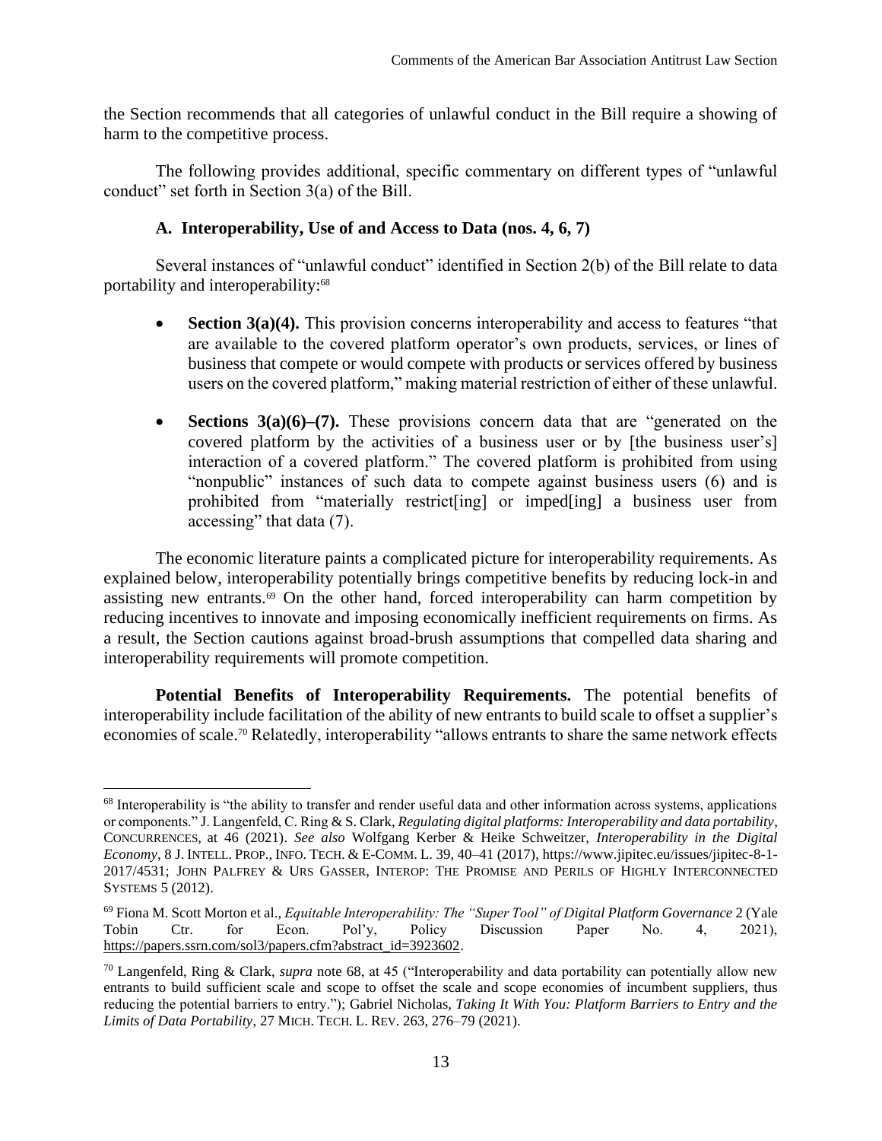the Section recommends that all categories of unlawful conduct in the Bill require a showing of harm to the competitive process.

The following provides additional, specific commentary on different types of "unlawful conduct" set forth in Section 3(a) of the Bill.

## **A. Interoperability, Use of and Access to Data (nos. 4, 6, 7)**

Several instances of "unlawful conduct" identified in Section 2(b) of the Bill relate to data portability and interoperability:<sup>68</sup>

- <span id="page-13-0"></span>**Section 3(a)(4).** This provision concerns interoperability and access to features "that are available to the covered platform operator's own products, services, or lines of business that compete or would compete with products or services offered by business users on the covered platform," making material restriction of either of these unlawful.
- **Sections 3(a)(6)–(7).** These provisions concern data that are "generated on the covered platform by the activities of a business user or by [the business user's] interaction of a covered platform." The covered platform is prohibited from using "nonpublic" instances of such data to compete against business users (6) and is prohibited from "materially restrict[ing] or imped[ing] a business user from accessing" that data (7).

<span id="page-13-1"></span>The economic literature paints a complicated picture for interoperability requirements. As explained below, interoperability potentially brings competitive benefits by reducing lock-in and assisting new entrants.<sup>69</sup> On the other hand, forced interoperability can harm competition by reducing incentives to innovate and imposing economically inefficient requirements on firms. As a result, the Section cautions against broad-brush assumptions that compelled data sharing and interoperability requirements will promote competition.

**Potential Benefits of Interoperability Requirements.** The potential benefits of interoperability include facilitation of the ability of new entrants to build scale to offset a supplier's economies of scale.<sup>70</sup> Relatedly, interoperability "allows entrants to share the same network effects

<sup>&</sup>lt;sup>68</sup> Interoperability is "the ability to transfer and render useful data and other information across systems, applications or components." J. Langenfeld, C. Ring & S. Clark, *Regulating digital platforms: Interoperability and data portability*, CONCURRENCES, at 46 (2021). *See also* Wolfgang Kerber & Heike Schweitzer, *Interoperability in the Digital Economy*, 8 J. INTELL. PROP., INFO. TECH. & E-COMM. L. 39, 40–41 (2017), https://www.jipitec.eu/issues/jipitec-8-1- 2017/4531; JOHN PALFREY & URS GASSER, INTEROP: THE PROMISE AND PERILS OF HIGHLY INTERCONNECTED SYSTEMS 5 (2012).

<sup>69</sup> Fiona M. Scott Morton et al., *Equitable Interoperability: The "Super Tool" of Digital Platform Governance* 2 (Yale Tobin Ctr. for Econ. Pol'y, Policy Discussion Paper No. 4, 2021), [https://papers.ssrn.com/sol3/papers.cfm?abstract\\_id=3923602.](https://papers.ssrn.com/sol3/papers.cfm?abstract_id=3923602)

<sup>70</sup> Langenfeld, Ring & Clark, *supra* note [68,](#page-13-0) at 45 ("Interoperability and data portability can potentially allow new entrants to build sufficient scale and scope to offset the scale and scope economies of incumbent suppliers, thus reducing the potential barriers to entry."); Gabriel Nicholas, *Taking It With You: Platform Barriers to Entry and the Limits of Data Portability*, 27 MICH. TECH. L. REV. 263, 276–79 (2021).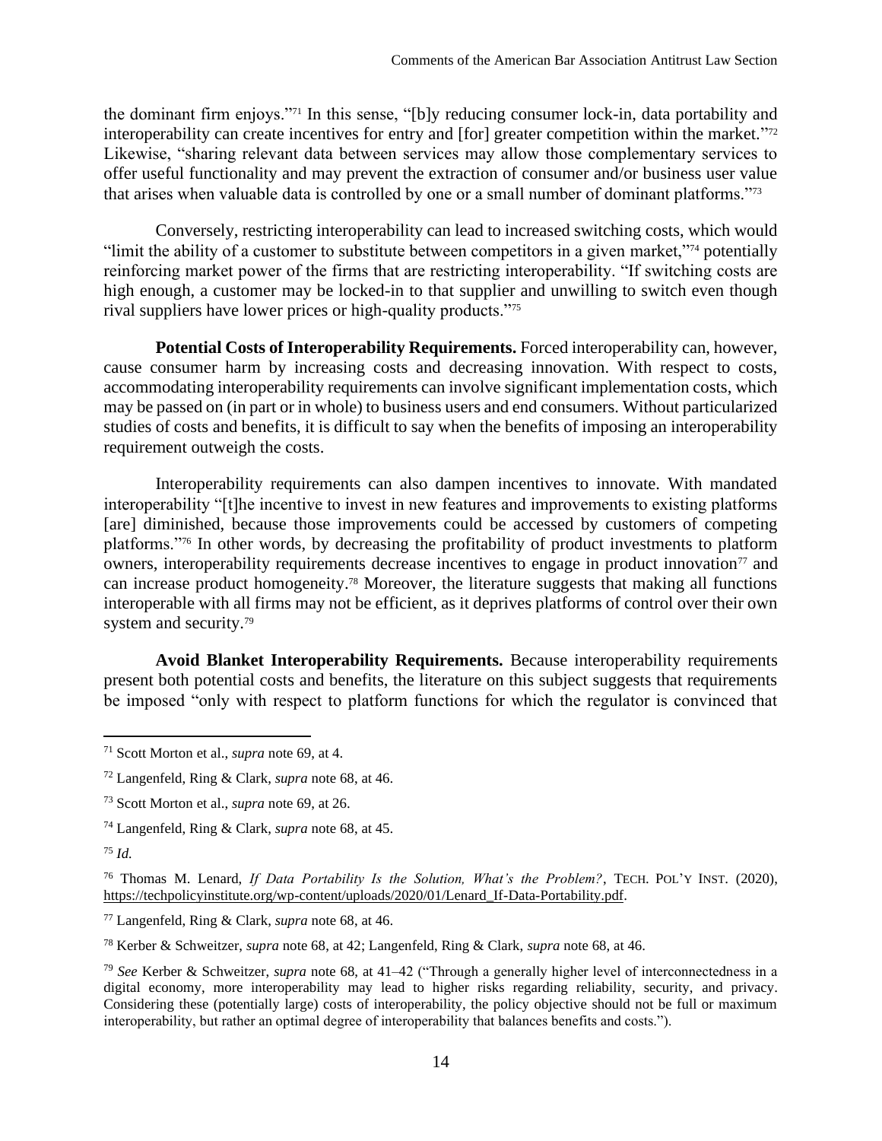the dominant firm enjoys."<sup>71</sup> In this sense, "[b]y reducing consumer lock-in, data portability and interoperability can create incentives for entry and [for] greater competition within the market."<sup>72</sup> Likewise, "sharing relevant data between services may allow those complementary services to offer useful functionality and may prevent the extraction of consumer and/or business user value that arises when valuable data is controlled by one or a small number of dominant platforms."<sup>73</sup>

Conversely, restricting interoperability can lead to increased switching costs, which would "limit the ability of a customer to substitute between competitors in a given market,"<sup>74</sup> potentially reinforcing market power of the firms that are restricting interoperability. "If switching costs are high enough, a customer may be locked-in to that supplier and unwilling to switch even though rival suppliers have lower prices or high-quality products."<sup>75</sup>

**Potential Costs of Interoperability Requirements.** Forced interoperability can, however, cause consumer harm by increasing costs and decreasing innovation. With respect to costs, accommodating interoperability requirements can involve significant implementation costs, which may be passed on (in part or in whole) to business users and end consumers. Without particularized studies of costs and benefits, it is difficult to say when the benefits of imposing an interoperability requirement outweigh the costs.

Interoperability requirements can also dampen incentives to innovate. With mandated interoperability "[t]he incentive to invest in new features and improvements to existing platforms [are] diminished, because those improvements could be accessed by customers of competing platforms."<sup>76</sup> In other words, by decreasing the profitability of product investments to platform owners, interoperability requirements decrease incentives to engage in product innovation<sup> $\tau$ </sup> and can increase product homogeneity.<sup>78</sup> Moreover, the literature suggests that making all functions interoperable with all firms may not be efficient, as it deprives platforms of control over their own system and security.<sup>79</sup>

**Avoid Blanket Interoperability Requirements.** Because interoperability requirements present both potential costs and benefits, the literature on this subject suggests that requirements be imposed "only with respect to platform functions for which the regulator is convinced that

<sup>74</sup> Langenfeld, Ring & Clark, *supra* note [68,](#page-13-0) at 45.

<sup>75</sup> *Id.*

<sup>77</sup> Langenfeld, Ring & Clark, *supra* note [68,](#page-13-0) at 46.

<sup>78</sup> Kerber & Schweitzer, *supra* note [68,](#page-13-0) at 42; Langenfeld, Ring & Clark, *supra* note [68,](#page-13-0) at 46.

<sup>79</sup> *See* Kerber & Schweitzer, *supra* note [68,](#page-13-0) at 41–42 ("Through a generally higher level of interconnectedness in a digital economy, more interoperability may lead to higher risks regarding reliability, security, and privacy. Considering these (potentially large) costs of interoperability, the policy objective should not be full or maximum interoperability, but rather an optimal degree of interoperability that balances benefits and costs.").

<sup>71</sup> Scott Morton et al., *supra* note [69,](#page-13-1) at 4.

<sup>72</sup> Langenfeld, Ring & Clark, *supra* note [68,](#page-13-0) at 46.

<sup>73</sup> Scott Morton et al., *supra* note [69,](#page-13-1) at 26.

<sup>76</sup> Thomas M. Lenard, *If Data Portability Is the Solution, What's the Problem?*, TECH. POL'Y INST. (2020), [https://techpolicyinstitute.org/wp-content/uploads/2020/01/Lenard\\_If-Data-Portability.pdf.](https://techpolicyinstitute.org/wp-content/uploads/2020/01/Lenard_If-Data-Portability.pdf)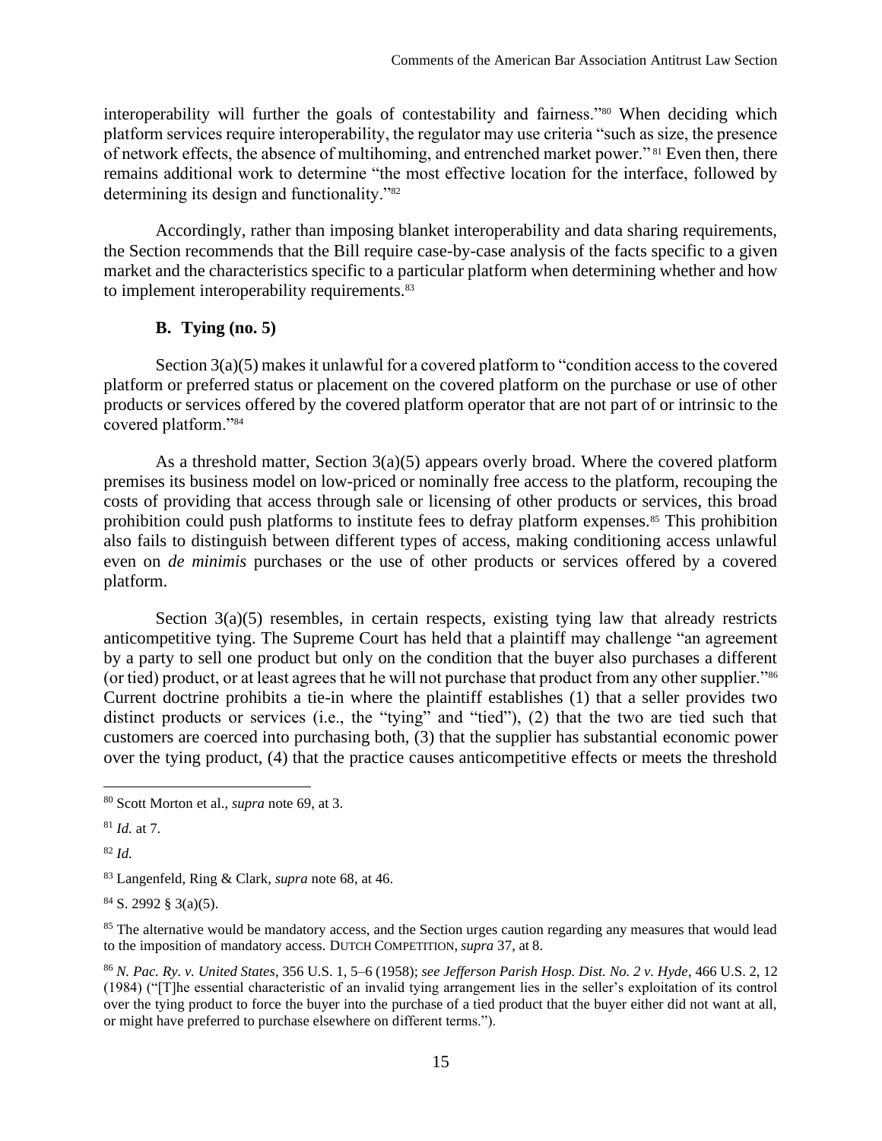interoperability will further the goals of contestability and fairness."<sup>80</sup> When deciding which platform services require interoperability, the regulator may use criteria "such as size, the presence of network effects, the absence of multihoming, and entrenched market power." <sup>81</sup> Even then, there remains additional work to determine "the most effective location for the interface, followed by determining its design and functionality."<sup>82</sup>

Accordingly, rather than imposing blanket interoperability and data sharing requirements, the Section recommends that the Bill require case-by-case analysis of the facts specific to a given market and the characteristics specific to a particular platform when determining whether and how to implement interoperability requirements.<sup>83</sup>

# **B. Tying (no. 5)**

<span id="page-15-0"></span>Section 3(a)(5) makes it unlawful for a covered platform to "condition access to the covered platform or preferred status or placement on the covered platform on the purchase or use of other products or services offered by the covered platform operator that are not part of or intrinsic to the covered platform."<sup>84</sup>

As a threshold matter, Section 3(a)(5) appears overly broad. Where the covered platform premises its business model on low-priced or nominally free access to the platform, recouping the costs of providing that access through sale or licensing of other products or services, this broad prohibition could push platforms to institute fees to defray platform expenses.<sup>85</sup> This prohibition also fails to distinguish between different types of access, making conditioning access unlawful even on *de minimis* purchases or the use of other products or services offered by a covered platform.

Section  $3(a)(5)$  resembles, in certain respects, existing tying law that already restricts anticompetitive tying. The Supreme Court has held that a plaintiff may challenge "an agreement by a party to sell one product but only on the condition that the buyer also purchases a different (or tied) product, or at least agrees that he will not purchase that product from any other supplier."<sup>86</sup> Current doctrine prohibits a tie-in where the plaintiff establishes (1) that a seller provides two distinct products or services (i.e., the "tying" and "tied"), (2) that the two are tied such that customers are coerced into purchasing both, (3) that the supplier has substantial economic power over the tying product, (4) that the practice causes anticompetitive effects or meets the threshold

<sup>82</sup> *Id.*

 $84$  S. 2992 § 3(a)(5).

<sup>85</sup> The alternative would be mandatory access, and the Section urges caution regarding any measures that would lead to the imposition of mandatory access. DUTCH COMPETITION, *supra* [37,](#page-8-1) at 8.

<sup>86</sup> *N. Pac. Ry. v. United States*, 356 U.S. 1, 5–6 (1958); *see Jefferson Parish Hosp. Dist. No. 2 v. Hyde*, 466 U.S. 2, 12 (1984) ("[T]he essential characteristic of an invalid tying arrangement lies in the seller's exploitation of its control over the tying product to force the buyer into the purchase of a tied product that the buyer either did not want at all, or might have preferred to purchase elsewhere on different terms.").

<sup>80</sup> Scott Morton et al., *supra* note [69,](#page-13-1) at 3.

<sup>81</sup> *Id.* at 7.

<sup>83</sup> Langenfeld, Ring & Clark, *supra* note [68,](#page-13-0) at 46.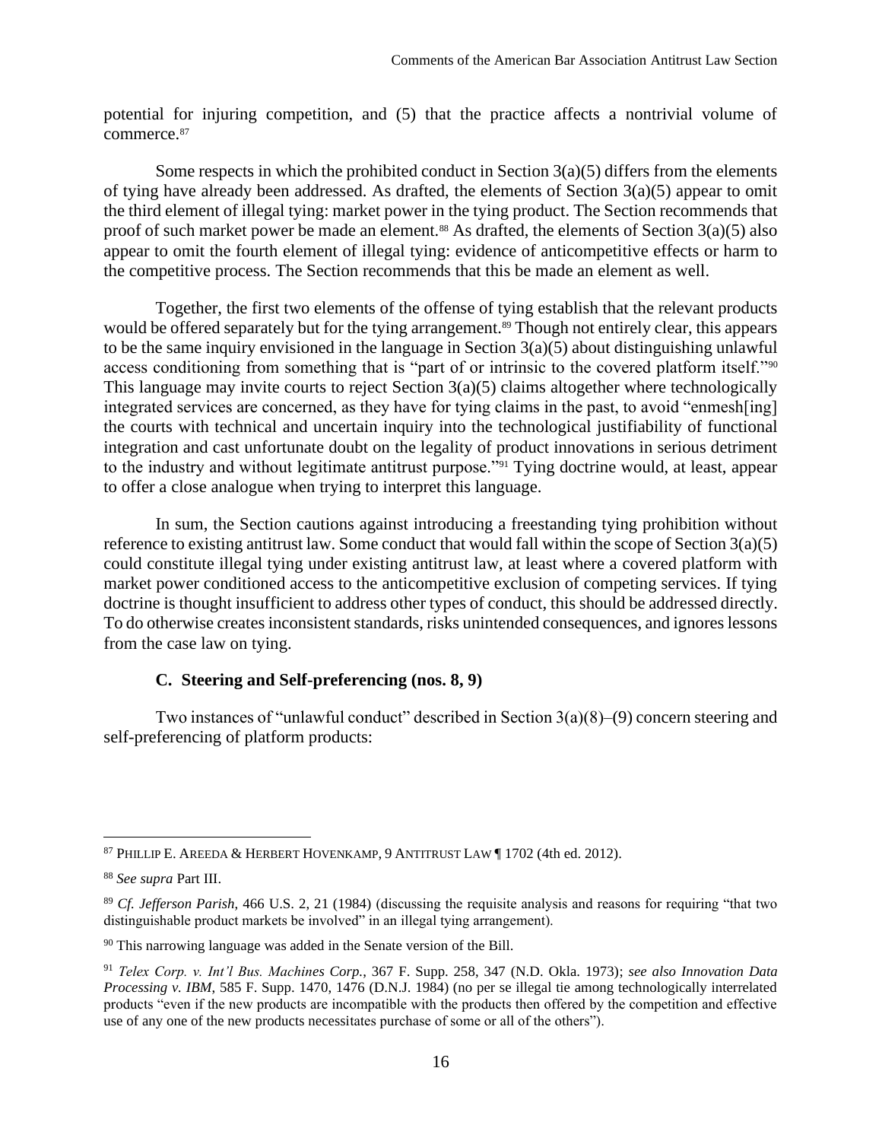potential for injuring competition, and (5) that the practice affects a nontrivial volume of commerce.<sup>87</sup>

Some respects in which the prohibited conduct in Section  $3(a)(5)$  differs from the elements of tying have already been addressed. As drafted, the elements of Section 3(a)(5) appear to omit the third element of illegal tying: market power in the tying product. The Section recommends that proof of such market power be made an element.<sup>88</sup> As drafted, the elements of Section  $3(a)(5)$  also appear to omit the fourth element of illegal tying: evidence of anticompetitive effects or harm to the competitive process. The Section recommends that this be made an element as well.

Together, the first two elements of the offense of tying establish that the relevant products would be offered separately but for the tying arrangement.<sup>89</sup> Though not entirely clear, this appears to be the same inquiry envisioned in the language in Section 3(a)(5) about distinguishing unlawful access conditioning from something that is "part of or intrinsic to the covered platform itself."<sup>90</sup> This language may invite courts to reject Section  $3(a)(5)$  claims altogether where technologically integrated services are concerned, as they have for tying claims in the past, to avoid "enmesh[ing] the courts with technical and uncertain inquiry into the technological justifiability of functional integration and cast unfortunate doubt on the legality of product innovations in serious detriment to the industry and without legitimate antitrust purpose."<sup>91</sup> Tying doctrine would, at least, appear to offer a close analogue when trying to interpret this language.

In sum, the Section cautions against introducing a freestanding tying prohibition without reference to existing antitrust law. Some conduct that would fall within the scope of Section 3(a)(5) could constitute illegal tying under existing antitrust law, at least where a covered platform with market power conditioned access to the anticompetitive exclusion of competing services. If tying doctrine is thought insufficient to address other types of conduct, this should be addressed directly. To do otherwise creates inconsistent standards, risks unintended consequences, and ignores lessons from the case law on tying.

#### **C. Steering and Self-preferencing (nos. 8, 9)**

Two instances of "unlawful conduct" described in Section 3(a)(8)–(9) concern steering and self-preferencing of platform products:

<sup>87</sup> PHILLIP E. AREEDA & HERBERT HOVENKAMP, 9 ANTITRUST LAW ¶ 1702 (4th ed. 2012).

<sup>88</sup> *See supra* Part [III.](#page-7-0)

<sup>89</sup> *Cf. Jefferson Parish*, 466 U.S. 2, 21 (1984) (discussing the requisite analysis and reasons for requiring "that two distinguishable product markets be involved" in an illegal tying arrangement).

<sup>&</sup>lt;sup>90</sup> This narrowing language was added in the Senate version of the Bill.

<sup>91</sup> *Telex Corp. v. Int'l Bus. Machines Corp.*, 367 F. Supp. 258, 347 (N.D. Okla. 1973); *see also Innovation Data Processing v. IBM*, 585 F. Supp. 1470, 1476 (D.N.J. 1984) (no per se illegal tie among technologically interrelated products "even if the new products are incompatible with the products then offered by the competition and effective use of any one of the new products necessitates purchase of some or all of the others").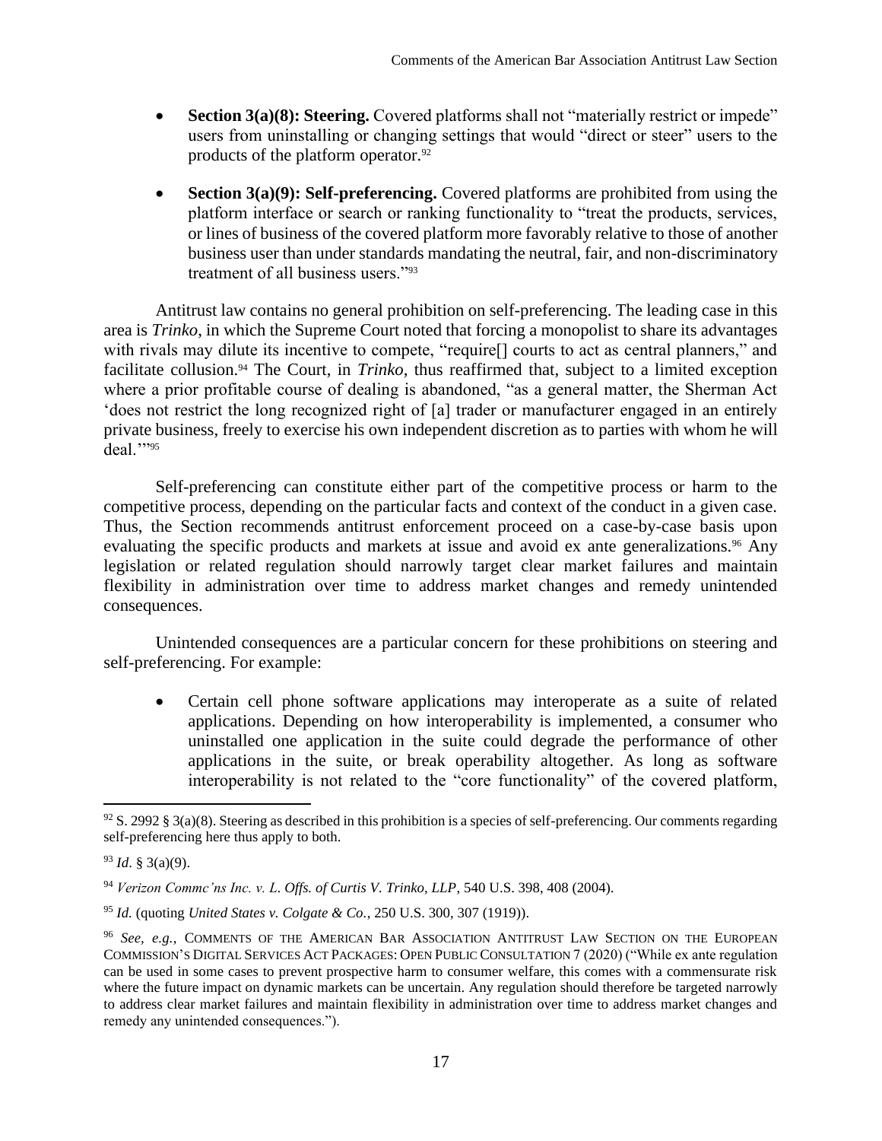- **Section 3(a)(8): Steering.** Covered platforms shall not "materially restrict or impede" users from uninstalling or changing settings that would "direct or steer" users to the products of the platform operator.<sup>92</sup>
- **Section 3(a)(9): Self-preferencing.** Covered platforms are prohibited from using the platform interface or search or ranking functionality to "treat the products, services, or lines of business of the covered platform more favorably relative to those of another business user than under standards mandating the neutral, fair, and non-discriminatory treatment of all business users."<sup>93</sup>

Antitrust law contains no general prohibition on self-preferencing. The leading case in this area is *Trinko*, in which the Supreme Court noted that forcing a monopolist to share its advantages with rivals may dilute its incentive to compete, "require[] courts to act as central planners," and facilitate collusion.<sup>94</sup> The Court, in *Trinko*, thus reaffirmed that, subject to a limited exception where a prior profitable course of dealing is abandoned, "as a general matter, the Sherman Act 'does not restrict the long recognized right of [a] trader or manufacturer engaged in an entirely private business, freely to exercise his own independent discretion as to parties with whom he will deal.""95

Self-preferencing can constitute either part of the competitive process or harm to the competitive process, depending on the particular facts and context of the conduct in a given case. Thus, the Section recommends antitrust enforcement proceed on a case-by-case basis upon evaluating the specific products and markets at issue and avoid ex ante generalizations.<sup>96</sup> Any legislation or related regulation should narrowly target clear market failures and maintain flexibility in administration over time to address market changes and remedy unintended consequences.

Unintended consequences are a particular concern for these prohibitions on steering and self-preferencing. For example:

• Certain cell phone software applications may interoperate as a suite of related applications. Depending on how interoperability is implemented, a consumer who uninstalled one application in the suite could degrade the performance of other applications in the suite, or break operability altogether. As long as software interoperability is not related to the "core functionality" of the covered platform,

 $92$  S. 2992 § 3(a)(8). Steering as described in this prohibition is a species of self-preferencing. Our comments regarding self-preferencing here thus apply to both.

<sup>93</sup> *Id*. § 3(a)(9).

<sup>94</sup> *Verizon Commc'ns Inc. v. L. Offs. of Curtis V. Trinko, LLP*, 540 U.S. 398, 408 (2004).

<sup>95</sup> *Id.* (quoting *United States v. Colgate & Co.*, 250 U.S. 300, 307 (1919)).

<sup>96</sup> *See, e.g.*, COMMENTS OF THE AMERICAN BAR ASSOCIATION ANTITRUST LAW SECTION ON THE EUROPEAN COMMISSION'S DIGITAL SERVICES ACT PACKAGES: OPEN PUBLIC CONSULTATION 7 (2020) ("While ex ante regulation can be used in some cases to prevent prospective harm to consumer welfare, this comes with a commensurate risk where the future impact on dynamic markets can be uncertain. Any regulation should therefore be targeted narrowly to address clear market failures and maintain flexibility in administration over time to address market changes and remedy any unintended consequences.").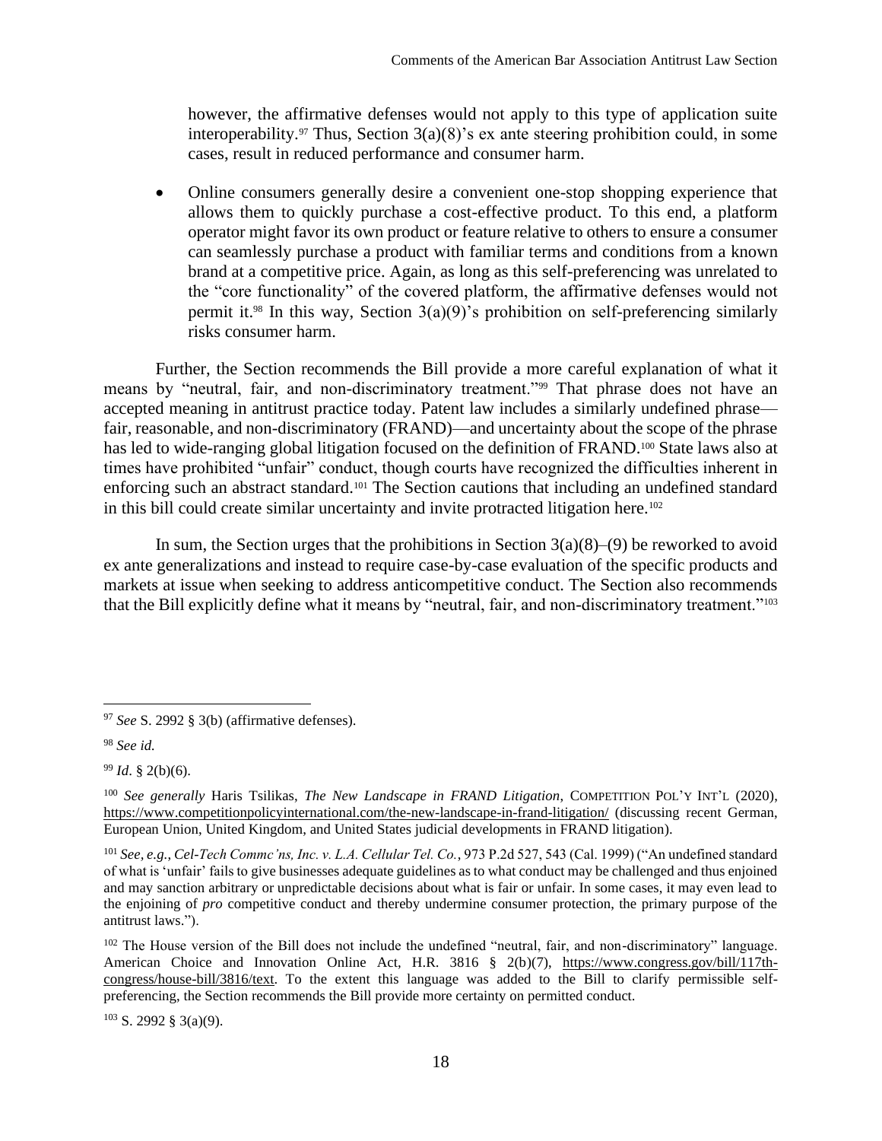however, the affirmative defenses would not apply to this type of application suite interoperability.<sup>97</sup> Thus, Section  $3(a)(8)$ 's ex ante steering prohibition could, in some cases, result in reduced performance and consumer harm.

• Online consumers generally desire a convenient one-stop shopping experience that allows them to quickly purchase a cost-effective product. To this end, a platform operator might favor its own product or feature relative to others to ensure a consumer can seamlessly purchase a product with familiar terms and conditions from a known brand at a competitive price. Again, as long as this self-preferencing was unrelated to the "core functionality" of the covered platform, the affirmative defenses would not permit it. <sup>98</sup> In this way, Section 3(a)(9)'s prohibition on self-preferencing similarly risks consumer harm.

Further, the Section recommends the Bill provide a more careful explanation of what it means by "neutral, fair, and non-discriminatory treatment."<sup>99</sup> That phrase does not have an accepted meaning in antitrust practice today. Patent law includes a similarly undefined phrase fair, reasonable, and non-discriminatory (FRAND)—and uncertainty about the scope of the phrase has led to wide-ranging global litigation focused on the definition of FRAND.<sup>100</sup> State laws also at times have prohibited "unfair" conduct, though courts have recognized the difficulties inherent in enforcing such an abstract standard.<sup>101</sup> The Section cautions that including an undefined standard in this bill could create similar uncertainty and invite protracted litigation here.<sup>102</sup>

In sum, the Section urges that the prohibitions in Section  $3(a)(8)$ –(9) be reworked to avoid ex ante generalizations and instead to require case-by-case evaluation of the specific products and markets at issue when seeking to address anticompetitive conduct. The Section also recommends that the Bill explicitly define what it means by "neutral, fair, and non-discriminatory treatment."<sup>103</sup>

<sup>97</sup> *See* S. 2992 § 3(b) (affirmative defenses).

<sup>98</sup> *See id.*

<sup>99</sup> *Id*. § 2(b)(6).

<sup>100</sup> *See generally* Haris Tsilikas, *The New Landscape in FRAND Litigation*, COMPETITION POL'Y INT'L (2020), <https://www.competitionpolicyinternational.com/the-new-landscape-in-frand-litigation/> (discussing recent German, European Union, United Kingdom, and United States judicial developments in FRAND litigation).

<sup>101</sup> *See, e.g.*, *Cel-Tech Commc'ns, Inc. v. L.A. Cellular Tel. Co.*, 973 P.2d 527, 543 (Cal. 1999) ("An undefined standard of what is 'unfair' fails to give businesses adequate guidelines as to what conduct may be challenged and thus enjoined and may sanction arbitrary or unpredictable decisions about what is fair or unfair. In some cases, it may even lead to the enjoining of *pro* competitive conduct and thereby undermine consumer protection, the primary purpose of the antitrust laws.").

<sup>&</sup>lt;sup>102</sup> The House version of the Bill does not include the undefined "neutral, fair, and non-discriminatory" language. American Choice and Innovation Online Act, H.R. 3816 § 2(b)(7), [https://www.congress.gov/bill/117th](https://www.congress.gov/bill/117th-congress/house-bill/3816/text)[congress/house-bill/3816/text.](https://www.congress.gov/bill/117th-congress/house-bill/3816/text) To the extent this language was added to the Bill to clarify permissible selfpreferencing, the Section recommends the Bill provide more certainty on permitted conduct.

 $103$  S. 2992 § 3(a)(9).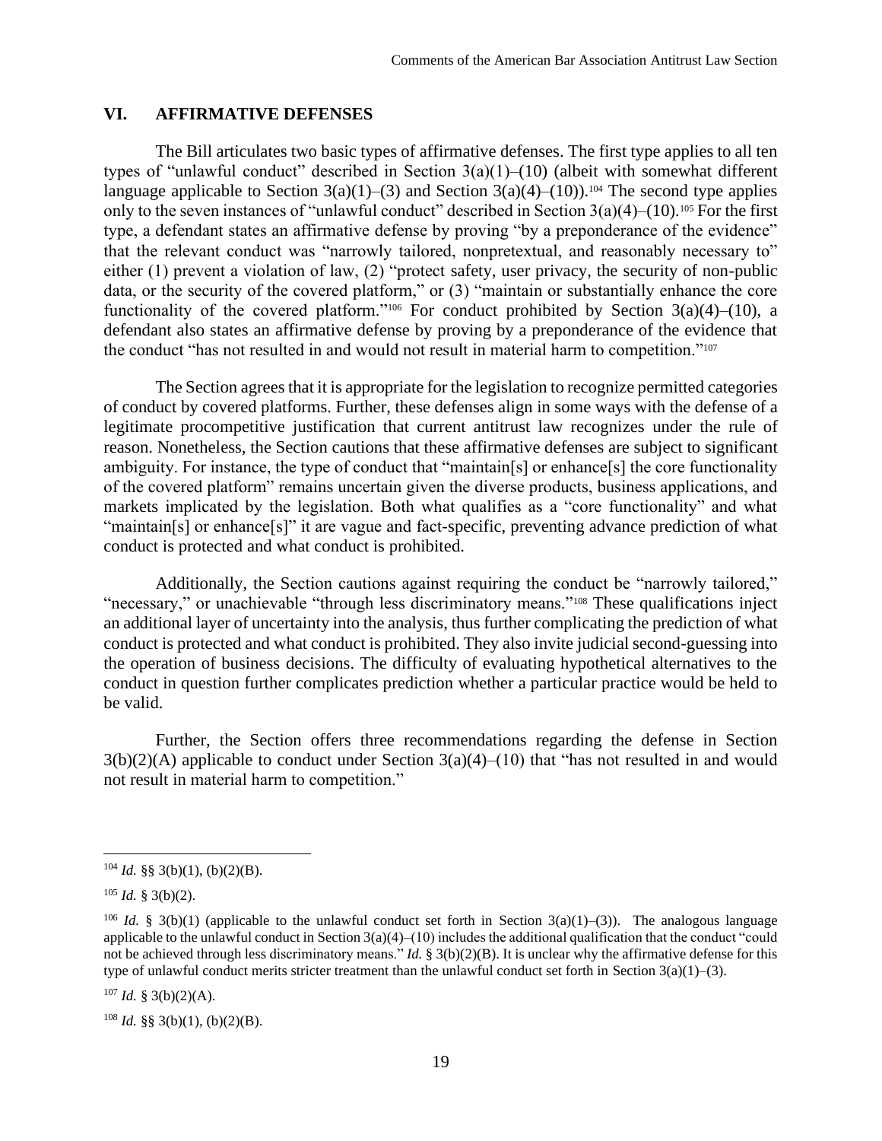#### **VI. AFFIRMATIVE DEFENSES**

The Bill articulates two basic types of affirmative defenses. The first type applies to all ten types of "unlawful conduct" described in Section  $3(a)(1)$ – $(10)$  (albeit with somewhat different language applicable to Section  $3(a)(1)$ –(3) and Section  $3(a)(4)$ –(10)).<sup>104</sup> The second type applies only to the seven instances of "unlawful conduct" described in Section  $3(a)(4)$ –(10).<sup>105</sup> For the first type, a defendant states an affirmative defense by proving "by a preponderance of the evidence" that the relevant conduct was "narrowly tailored, nonpretextual, and reasonably necessary to" either (1) prevent a violation of law, (2) "protect safety, user privacy, the security of non-public data, or the security of the covered platform," or (3) "maintain or substantially enhance the core functionality of the covered platform."<sup>106</sup> For conduct prohibited by Section  $3(a)(4)$ –(10), a defendant also states an affirmative defense by proving by a preponderance of the evidence that the conduct "has not resulted in and would not result in material harm to competition."<sup>107</sup>

The Section agrees that it is appropriate for the legislation to recognize permitted categories of conduct by covered platforms. Further, these defenses align in some ways with the defense of a legitimate procompetitive justification that current antitrust law recognizes under the rule of reason. Nonetheless, the Section cautions that these affirmative defenses are subject to significant ambiguity. For instance, the type of conduct that "maintain[s] or enhance[s] the core functionality of the covered platform" remains uncertain given the diverse products, business applications, and markets implicated by the legislation. Both what qualifies as a "core functionality" and what "maintain[s] or enhance[s]" it are vague and fact-specific, preventing advance prediction of what conduct is protected and what conduct is prohibited.

Additionally, the Section cautions against requiring the conduct be "narrowly tailored," "necessary," or unachievable "through less discriminatory means."<sup>108</sup> These qualifications inject an additional layer of uncertainty into the analysis, thus further complicating the prediction of what conduct is protected and what conduct is prohibited. They also invite judicial second-guessing into the operation of business decisions. The difficulty of evaluating hypothetical alternatives to the conduct in question further complicates prediction whether a particular practice would be held to be valid.

Further, the Section offers three recommendations regarding the defense in Section  $3(b)(2)(A)$  applicable to conduct under Section  $3(a)(4)$ –(10) that "has not resulted in and would not result in material harm to competition."

 $107$  *Id.* § 3(b)(2)(A).

 $104$  *Id.* §§ 3(b)(1), (b)(2)(B).

 $105$  *Id.* § 3(b)(2).

<sup>&</sup>lt;sup>106</sup> *Id.* § 3(b)(1) (applicable to the unlawful conduct set forth in Section 3(a)(1)–(3)). The analogous language applicable to the unlawful conduct in Section 3(a)(4)–(10) includes the additional qualification that the conduct "could not be achieved through less discriminatory means." *Id.* § 3(b)(2)(B). It is unclear why the affirmative defense for this type of unlawful conduct merits stricter treatment than the unlawful conduct set forth in Section  $3(a)(1)-(3)$ .

 $108$  *Id.* §§ 3(b)(1), (b)(2)(B).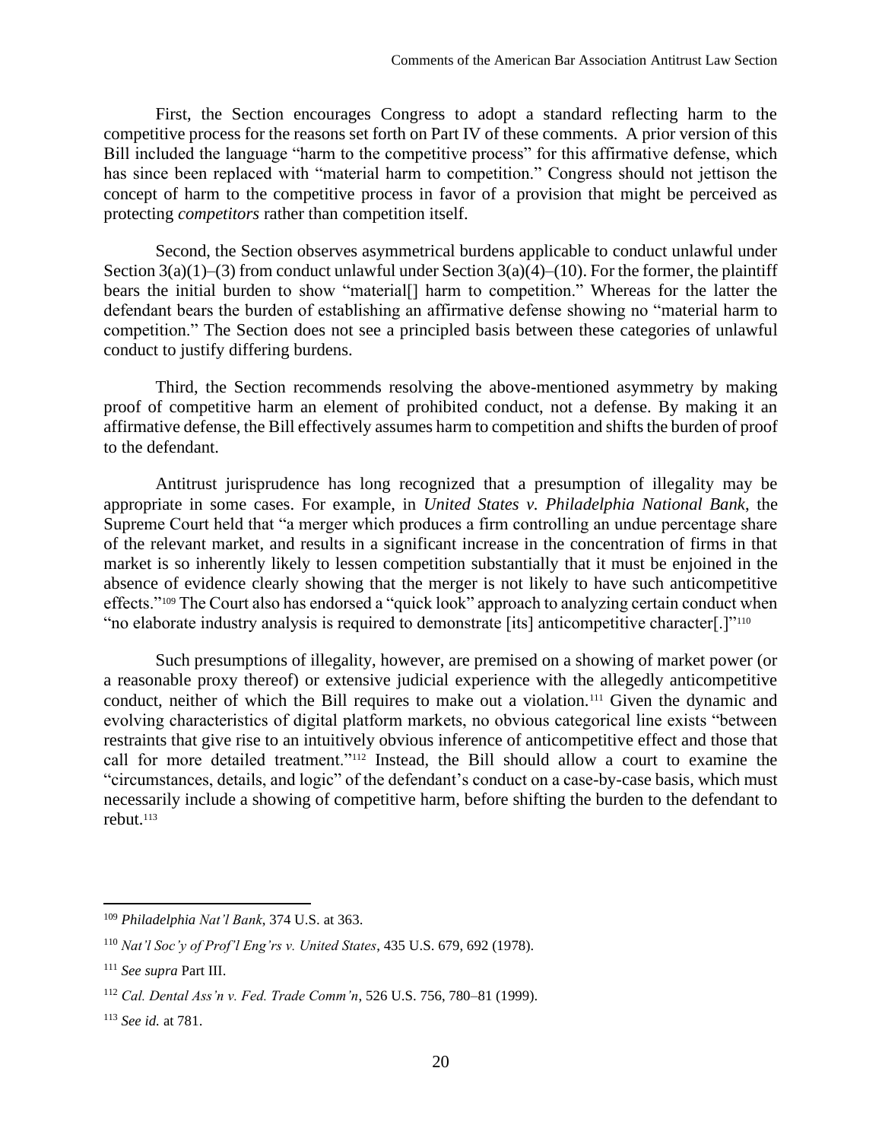First, the Section encourages Congress to adopt a standard reflecting harm to the competitive process for the reasons set forth on Part IV of these comments. A prior version of this Bill included the language "harm to the competitive process" for this affirmative defense, which has since been replaced with "material harm to competition." Congress should not jettison the concept of harm to the competitive process in favor of a provision that might be perceived as protecting *competitors* rather than competition itself.

Second, the Section observes asymmetrical burdens applicable to conduct unlawful under Section  $3(a)(1)$ –(3) from conduct unlawful under Section  $3(a)(4)$ –(10). For the former, the plaintiff bears the initial burden to show "material[] harm to competition." Whereas for the latter the defendant bears the burden of establishing an affirmative defense showing no "material harm to competition." The Section does not see a principled basis between these categories of unlawful conduct to justify differing burdens.

Third, the Section recommends resolving the above-mentioned asymmetry by making proof of competitive harm an element of prohibited conduct, not a defense. By making it an affirmative defense, the Bill effectively assumes harm to competition and shifts the burden of proof to the defendant.

Antitrust jurisprudence has long recognized that a presumption of illegality may be appropriate in some cases. For example, in *United States v. Philadelphia National Bank*, the Supreme Court held that "a merger which produces a firm controlling an undue percentage share of the relevant market, and results in a significant increase in the concentration of firms in that market is so inherently likely to lessen competition substantially that it must be enjoined in the absence of evidence clearly showing that the merger is not likely to have such anticompetitive effects."<sup>109</sup> The Court also has endorsed a "quick look" approach to analyzing certain conduct when "no elaborate industry analysis is required to demonstrate [its] anticompetitive character[.]"<sup>110</sup>

Such presumptions of illegality, however, are premised on a showing of market power (or a reasonable proxy thereof) or extensive judicial experience with the allegedly anticompetitive conduct, neither of which the Bill requires to make out a violation.<sup>111</sup> Given the dynamic and evolving characteristics of digital platform markets, no obvious categorical line exists "between restraints that give rise to an intuitively obvious inference of anticompetitive effect and those that call for more detailed treatment."<sup>112</sup> Instead, the Bill should allow a court to examine the "circumstances, details, and logic" of the defendant's conduct on a case-by-case basis, which must necessarily include a showing of competitive harm, before shifting the burden to the defendant to rebut.<sup>113</sup>

<sup>109</sup> *Philadelphia Nat'l Bank*, 374 U.S. at 363.

<sup>110</sup> *Nat'l Soc'y of Prof'l Eng'rs v. United States*, 435 U.S. 679, 692 (1978).

<sup>111</sup> *See supra* Part [III.](#page-7-0)

<sup>112</sup> *Cal. Dental Ass'n v. Fed. Trade Comm'n*, 526 U.S. 756, 780–81 (1999).

<sup>113</sup> *See id.* at 781.